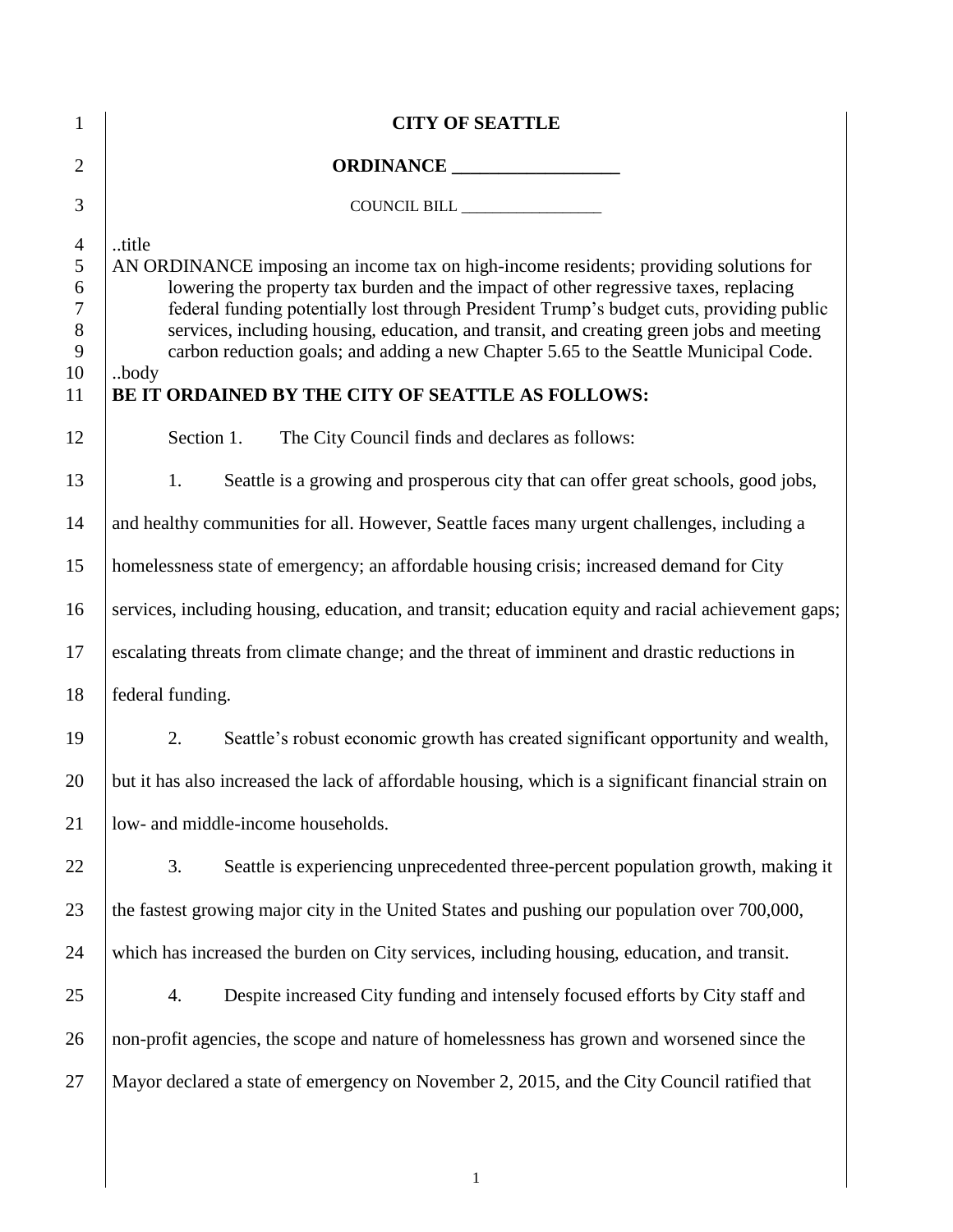| $\mathbf{1}$                                                 | <b>CITY OF SEATTLE</b>                                                                                                                                                                                                                                                                                                                                                                                                                                                                                                              |  |  |  |  |
|--------------------------------------------------------------|-------------------------------------------------------------------------------------------------------------------------------------------------------------------------------------------------------------------------------------------------------------------------------------------------------------------------------------------------------------------------------------------------------------------------------------------------------------------------------------------------------------------------------------|--|--|--|--|
| $\overline{2}$                                               | ORDINANCE                                                                                                                                                                                                                                                                                                                                                                                                                                                                                                                           |  |  |  |  |
| 3                                                            | COUNCIL BILL __________________                                                                                                                                                                                                                                                                                                                                                                                                                                                                                                     |  |  |  |  |
| $\overline{4}$<br>5<br>6<br>$\tau$<br>$8\,$<br>9<br>10<br>11 | title<br>AN ORDINANCE imposing an income tax on high-income residents; providing solutions for<br>lowering the property tax burden and the impact of other regressive taxes, replacing<br>federal funding potentially lost through President Trump's budget cuts, providing public<br>services, including housing, education, and transit, and creating green jobs and meeting<br>carbon reduction goals; and adding a new Chapter 5.65 to the Seattle Municipal Code.<br>body<br>BE IT ORDAINED BY THE CITY OF SEATTLE AS FOLLOWS: |  |  |  |  |
| 12                                                           | Section 1.<br>The City Council finds and declares as follows:                                                                                                                                                                                                                                                                                                                                                                                                                                                                       |  |  |  |  |
| 13                                                           | Seattle is a growing and prosperous city that can offer great schools, good jobs,<br>1.                                                                                                                                                                                                                                                                                                                                                                                                                                             |  |  |  |  |
| 14                                                           | and healthy communities for all. However, Seattle faces many urgent challenges, including a                                                                                                                                                                                                                                                                                                                                                                                                                                         |  |  |  |  |
| 15                                                           | homelessness state of emergency; an affordable housing crisis; increased demand for City                                                                                                                                                                                                                                                                                                                                                                                                                                            |  |  |  |  |
| 16                                                           | services, including housing, education, and transit; education equity and racial achievement gaps;                                                                                                                                                                                                                                                                                                                                                                                                                                  |  |  |  |  |
| 17                                                           | escalating threats from climate change; and the threat of imminent and drastic reductions in                                                                                                                                                                                                                                                                                                                                                                                                                                        |  |  |  |  |
| 18                                                           | federal funding.                                                                                                                                                                                                                                                                                                                                                                                                                                                                                                                    |  |  |  |  |
| 19                                                           | 2.<br>Seattle's robust economic growth has created significant opportunity and wealth,                                                                                                                                                                                                                                                                                                                                                                                                                                              |  |  |  |  |
| 20                                                           | but it has also increased the lack of affordable housing, which is a significant financial strain on                                                                                                                                                                                                                                                                                                                                                                                                                                |  |  |  |  |
| 21                                                           | low- and middle-income households.                                                                                                                                                                                                                                                                                                                                                                                                                                                                                                  |  |  |  |  |
| 22                                                           | Seattle is experiencing unprecedented three-percent population growth, making it<br>3.                                                                                                                                                                                                                                                                                                                                                                                                                                              |  |  |  |  |
| 23                                                           | the fastest growing major city in the United States and pushing our population over 700,000,                                                                                                                                                                                                                                                                                                                                                                                                                                        |  |  |  |  |
| 24                                                           | which has increased the burden on City services, including housing, education, and transit.                                                                                                                                                                                                                                                                                                                                                                                                                                         |  |  |  |  |
| 25                                                           | Despite increased City funding and intensely focused efforts by City staff and<br>4.                                                                                                                                                                                                                                                                                                                                                                                                                                                |  |  |  |  |
| 26                                                           | non-profit agencies, the scope and nature of homelessness has grown and worsened since the                                                                                                                                                                                                                                                                                                                                                                                                                                          |  |  |  |  |
| 27                                                           | Mayor declared a state of emergency on November 2, 2015, and the City Council ratified that                                                                                                                                                                                                                                                                                                                                                                                                                                         |  |  |  |  |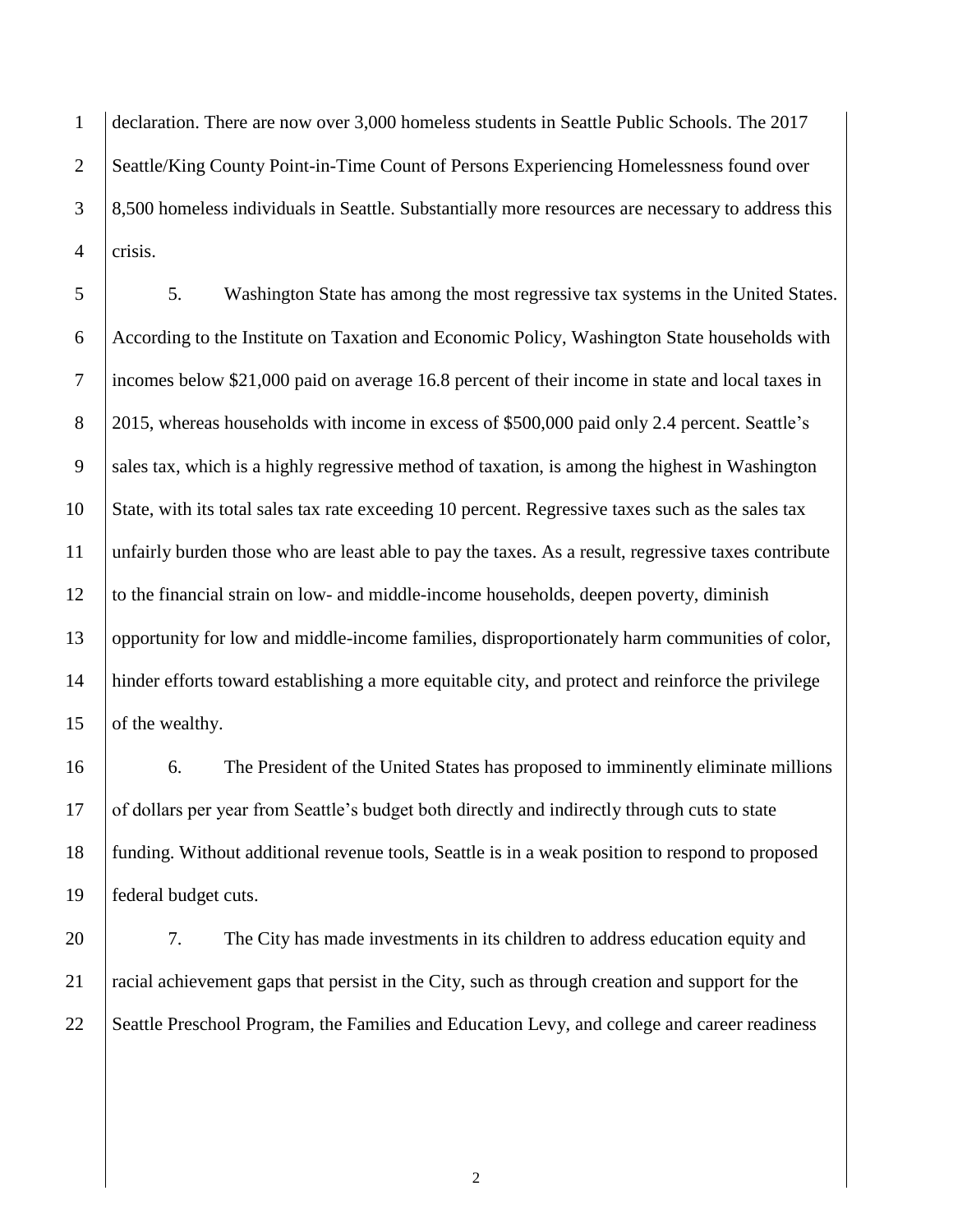declaration. There are now over 3,000 homeless students in Seattle Public Schools. The 2017 2 Seattle/King County Point-in-Time Count of Persons Experiencing Homelessness found over 8,500 homeless individuals in Seattle. Substantially more resources are necessary to address this crisis.

 5. Washington State has among the most regressive tax systems in the United States. According to the Institute on Taxation and Economic Policy, Washington State households with incomes below \$21,000 paid on average 16.8 percent of their income in state and local taxes in 8 2015, whereas households with income in excess of \$500,000 paid only 2.4 percent. Seattle's sales tax, which is a highly regressive method of taxation, is among the highest in Washington State, with its total sales tax rate exceeding 10 percent. Regressive taxes such as the sales tax unfairly burden those who are least able to pay the taxes. As a result, regressive taxes contribute to the financial strain on low- and middle-income households, deepen poverty, diminish opportunity for low and middle-income families, disproportionately harm communities of color, hinder efforts toward establishing a more equitable city, and protect and reinforce the privilege 15 of the wealthy.

16 6. The President of the United States has proposed to imminently eliminate millions of dollars per year from Seattle's budget both directly and indirectly through cuts to state funding. Without additional revenue tools, Seattle is in a weak position to respond to proposed federal budget cuts.

 7. The City has made investments in its children to address education equity and racial achievement gaps that persist in the City, such as through creation and support for the 22 Seattle Preschool Program, the Families and Education Levy, and college and career readiness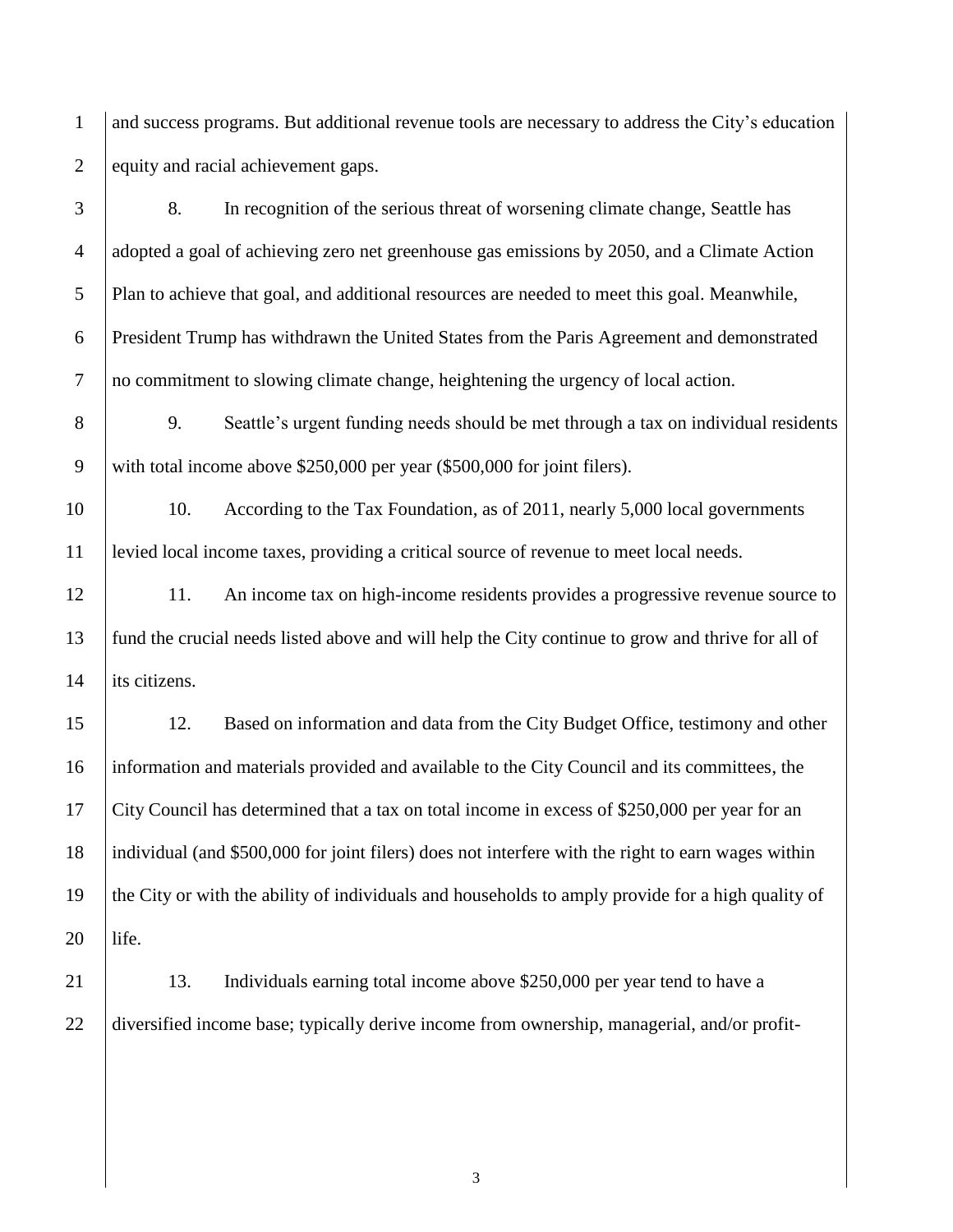and success programs. But additional revenue tools are necessary to address the City's education 2 equity and racial achievement gaps.

 8. In recognition of the serious threat of worsening climate change, Seattle has adopted a goal of achieving zero net greenhouse gas emissions by 2050, and a Climate Action Plan to achieve that goal, and additional resources are needed to meet this goal. Meanwhile, President Trump has withdrawn the United States from the Paris Agreement and demonstrated no commitment to slowing climate change, heightening the urgency of local action.

8 9. Seattle's urgent funding needs should be met through a tax on individual residents with total income above \$250,000 per year (\$500,000 for joint filers).

10 10. According to the Tax Foundation, as of 2011, nearly 5,000 local governments levied local income taxes, providing a critical source of revenue to meet local needs.

 11. An income tax on high-income residents provides a progressive revenue source to fund the crucial needs listed above and will help the City continue to grow and thrive for all of 14 lits citizens.

 12. Based on information and data from the City Budget Office, testimony and other information and materials provided and available to the City Council and its committees, the City Council has determined that a tax on total income in excess of \$250,000 per year for an individual (and \$500,000 for joint filers) does not interfere with the right to earn wages within the City or with the ability of individuals and households to amply provide for a high quality of life.

 13. Individuals earning total income above \$250,000 per year tend to have a 22 diversified income base; typically derive income from ownership, managerial, and/or profit-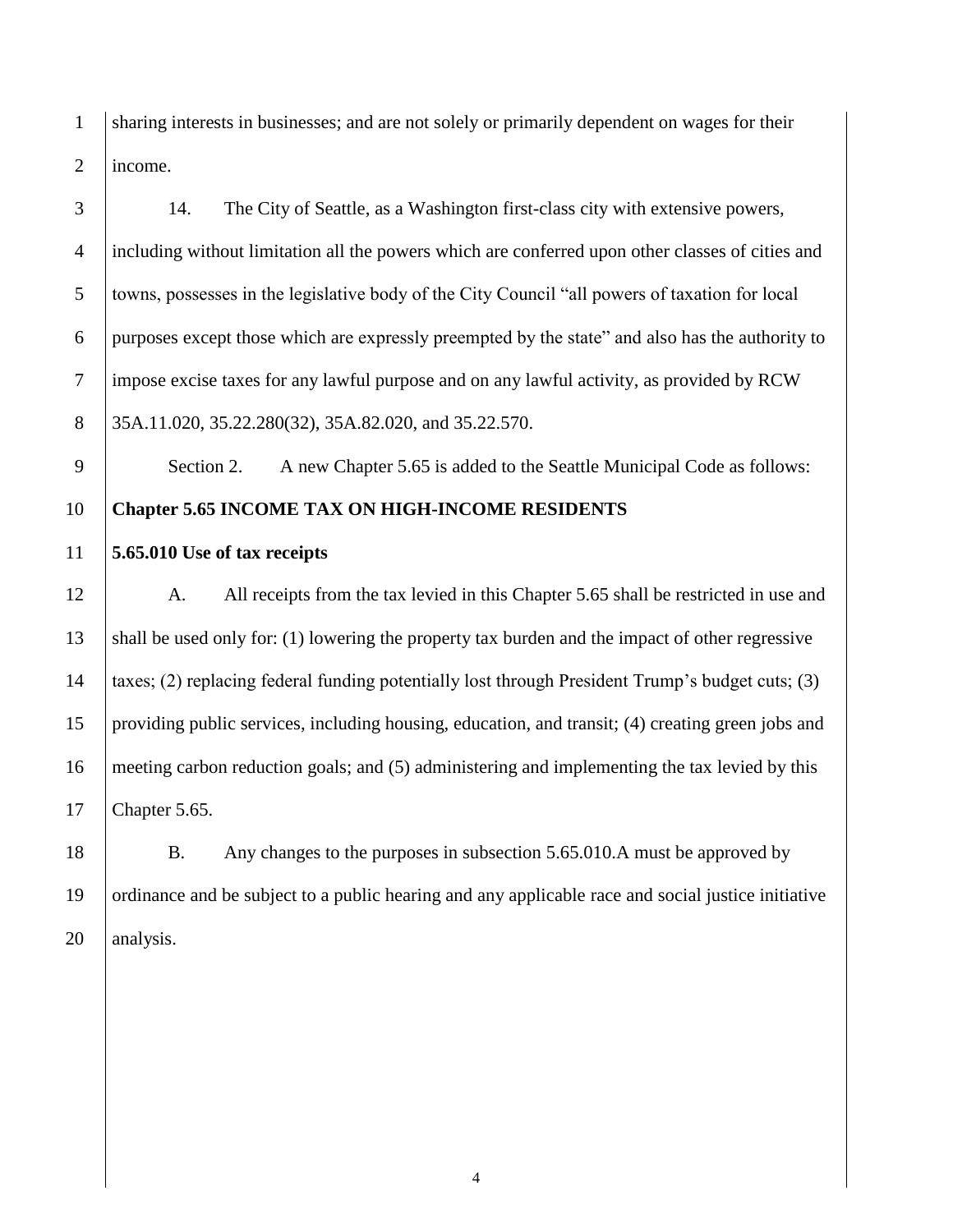1 sharing interests in businesses; and are not solely or primarily dependent on wages for their income.

 14. The City of Seattle, as a Washington first-class city with extensive powers, including without limitation all the powers which are conferred upon other classes of cities and towns, possesses in the legislative body of the City Council "all powers of taxation for local purposes except those which are expressly preempted by the state" and also has the authority to impose excise taxes for any lawful purpose and on any lawful activity, as provided by RCW 8 35A.11.020, 35.22.280(32), 35A.82.020, and 35.22.570.

9 Section 2. A new Chapter 5.65 is added to the Seattle Municipal Code as follows: **Chapter 5.65 INCOME TAX ON HIGH-INCOME RESIDENTS** 

**5.65.010 Use of tax receipts**

12 A. All receipts from the tax levied in this Chapter 5.65 shall be restricted in use and shall be used only for: (1) lowering the property tax burden and the impact of other regressive taxes; (2) replacing federal funding potentially lost through President Trump's budget cuts; (3) providing public services, including housing, education, and transit; (4) creating green jobs and meeting carbon reduction goals; and (5) administering and implementing the tax levied by this Chapter 5.65.

18 B. Any changes to the purposes in subsection 5.65.010.A must be approved by ordinance and be subject to a public hearing and any applicable race and social justice initiative 20 | analysis.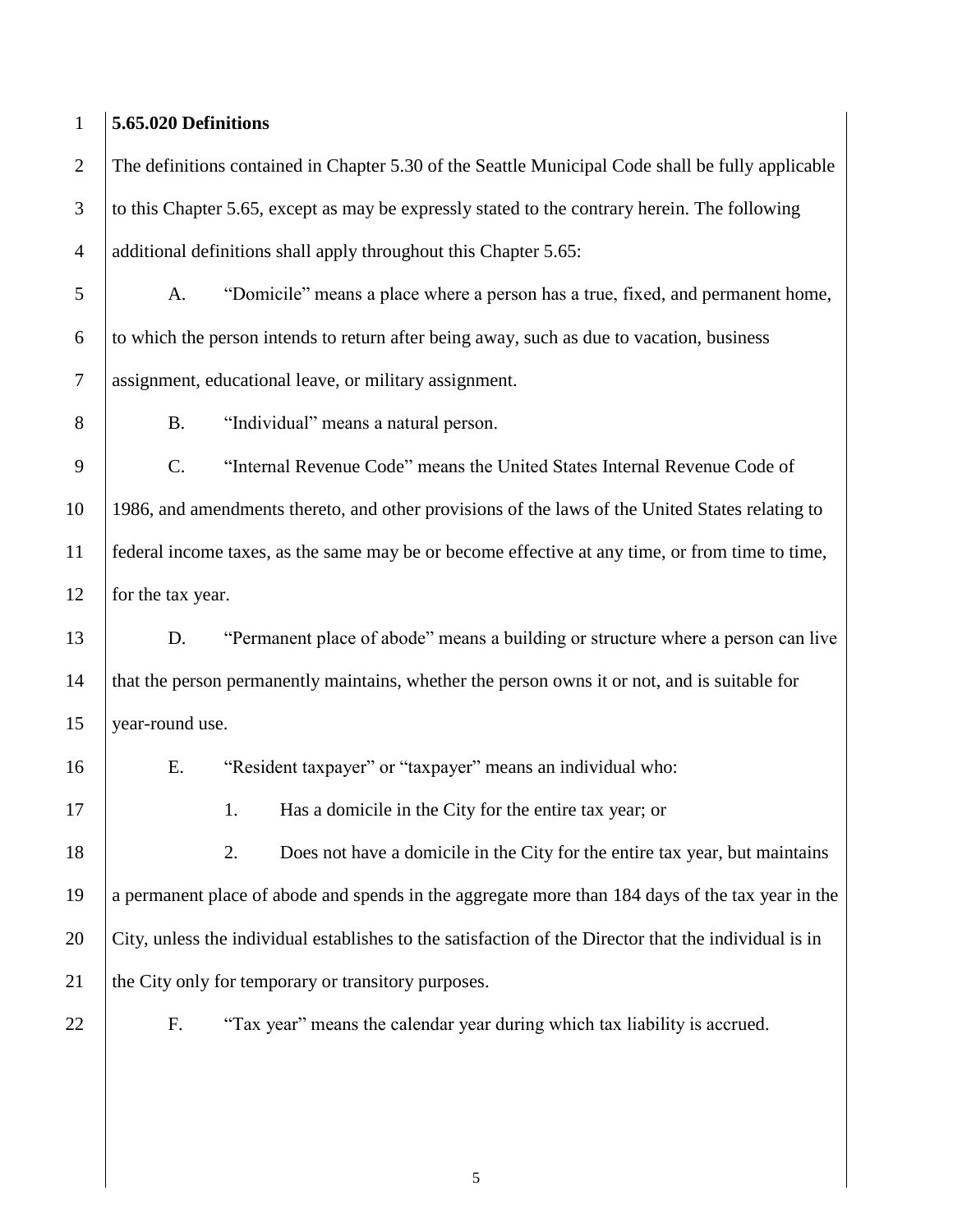### **5.65.020 Definitions**

 The definitions contained in Chapter 5.30 of the Seattle Municipal Code shall be fully applicable to this Chapter 5.65, except as may be expressly stated to the contrary herein. The following additional definitions shall apply throughout this Chapter 5.65:

 A. "Domicile" means a place where a person has a true, fixed, and permanent home, to which the person intends to return after being away, such as due to vacation, business assignment, educational leave, or military assignment.

B. "Individual" means a natural person.

 C. "Internal Revenue Code" means the United States Internal Revenue Code of 1986, and amendments thereto, and other provisions of the laws of the United States relating to federal income taxes, as the same may be or become effective at any time, or from time to time, 12 for the tax year.

 D. "Permanent place of abode" means a building or structure where a person can live that the person permanently maintains, whether the person owns it or not, and is suitable for year-round use.

E. "Resident taxpayer" or "taxpayer" means an individual who:

17 1. Has a domicile in the City for the entire tax year; or

18 2. Does not have a domicile in the City for the entire tax year, but maintains a permanent place of abode and spends in the aggregate more than 184 days of the tax year in the City, unless the individual establishes to the satisfaction of the Director that the individual is in 21 the City only for temporary or transitory purposes.

F. "Tax year" means the calendar year during which tax liability is accrued.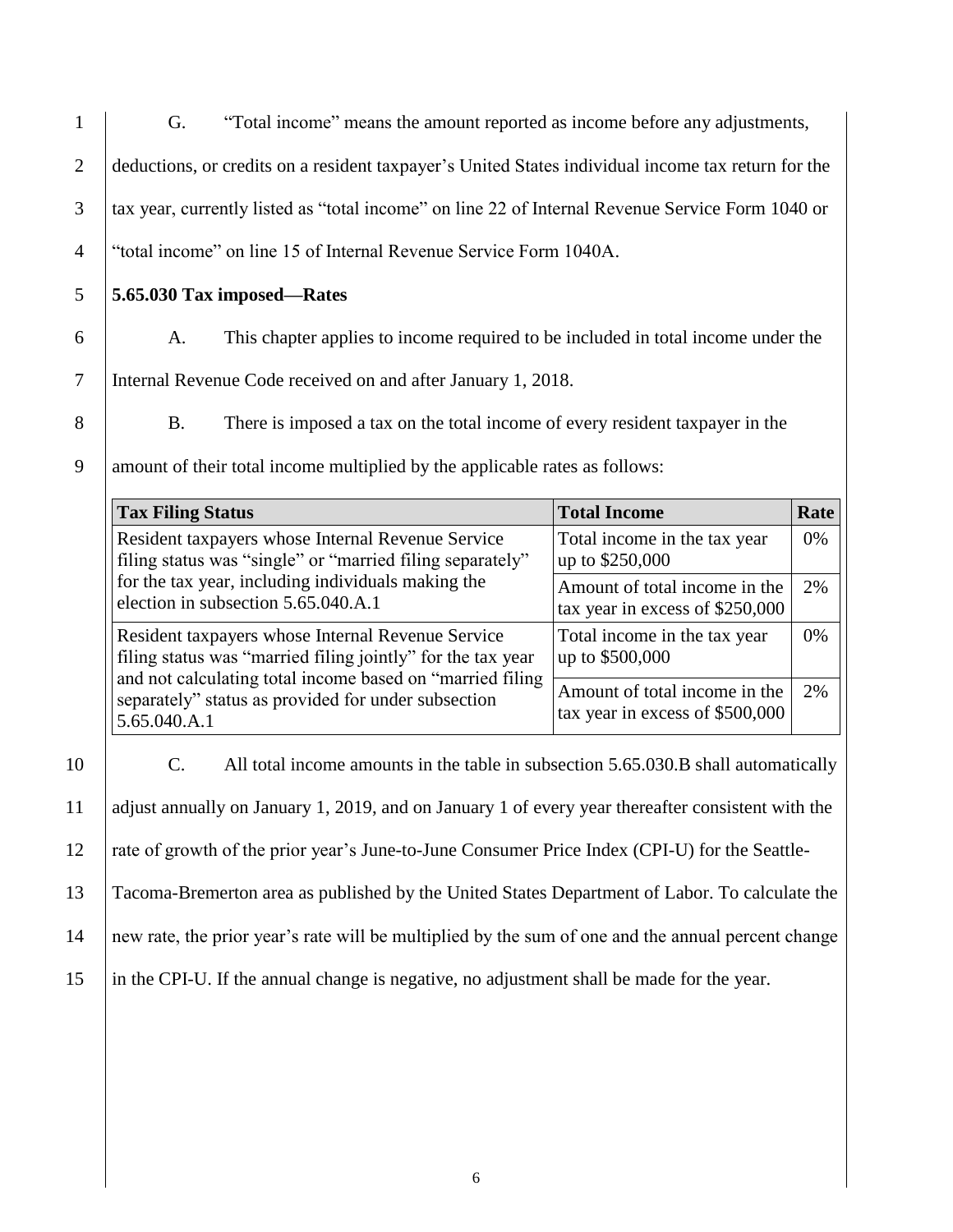- 1 G. "Total income" means the amount reported as income before any adjustments, 2 deductions, or credits on a resident taxpayer's United States individual income tax return for the 3 tax year, currently listed as "total income" on line 22 of Internal Revenue Service Form 1040 or 4 "total income" on line 15 of Internal Revenue Service Form 1040A.
- 5 **5.65.030 Tax imposed—Rates**
	-
- 6 A. This chapter applies to income required to be included in total income under the

7 Internal Revenue Code received on and after January 1, 2018.

8 B. There is imposed a tax on the total income of every resident taxpayer in the

9 amount of their total income multiplied by the applicable rates as follows:

| <b>Tax Filing Status</b>                                                                                                                                                       | <b>Total Income</b>                                              | Rate |
|--------------------------------------------------------------------------------------------------------------------------------------------------------------------------------|------------------------------------------------------------------|------|
| Resident taxpayers whose Internal Revenue Service<br>filing status was "single" or "married filing separately"                                                                 | Total income in the tax year<br>up to \$250,000                  | 0%   |
| for the tax year, including individuals making the<br>election in subsection 5.65.040.A.1                                                                                      | Amount of total income in the<br>tax year in excess of \$250,000 | 2%   |
| Resident taxpayers whose Internal Revenue Service<br>filing status was "married filing jointly" for the tax year<br>and not calculating total income based on "married filing" | Total income in the tax year<br>up to \$500,000                  | 0%   |
| separately" status as provided for under subsection<br>5.65.040.A.1                                                                                                            | Amount of total income in the<br>tax year in excess of \$500,000 | 2%   |

10 C. All total income amounts in the table in subsection 5.65.030.B shall automatically adjust annually on January 1, 2019, and on January 1 of every year thereafter consistent with the rate of growth of the prior year's June-to-June Consumer Price Index (CPI-U) for the Seattle-Tacoma-Bremerton area as published by the United States Department of Labor. To calculate the

14 new rate, the prior year's rate will be multiplied by the sum of one and the annual percent change

15 in the CPI-U. If the annual change is negative, no adjustment shall be made for the year.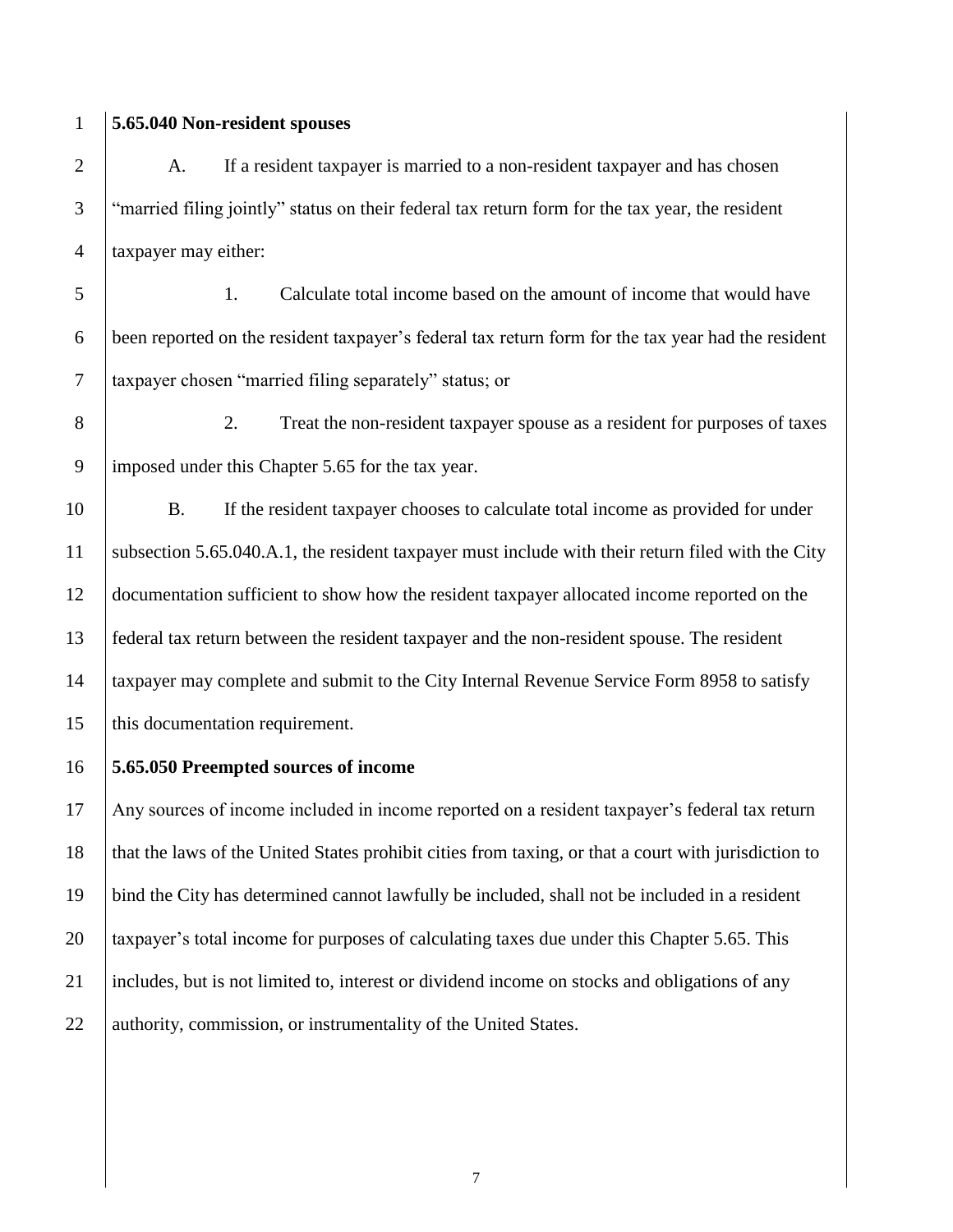### **5.65.040 Non-resident spouses**

2 A. If a resident taxpayer is married to a non-resident taxpayer and has chosen "married filing jointly" status on their federal tax return form for the tax year, the resident taxpayer may either:

 1. Calculate total income based on the amount of income that would have been reported on the resident taxpayer's federal tax return form for the tax year had the resident taxpayer chosen "married filing separately" status; or

 2. Treat the non-resident taxpayer spouse as a resident for purposes of taxes imposed under this Chapter 5.65 for the tax year.

 B. If the resident taxpayer chooses to calculate total income as provided for under subsection 5.65.040.A.1, the resident taxpayer must include with their return filed with the City documentation sufficient to show how the resident taxpayer allocated income reported on the federal tax return between the resident taxpayer and the non-resident spouse. The resident taxpayer may complete and submit to the City Internal Revenue Service Form 8958 to satisfy 15 | this documentation requirement.

**5.65.050 Preempted sources of income**

 Any sources of income included in income reported on a resident taxpayer's federal tax return that the laws of the United States prohibit cities from taxing, or that a court with jurisdiction to bind the City has determined cannot lawfully be included, shall not be included in a resident 20 taxpayer's total income for purposes of calculating taxes due under this Chapter 5.65. This includes, but is not limited to, interest or dividend income on stocks and obligations of any 22 authority, commission, or instrumentality of the United States.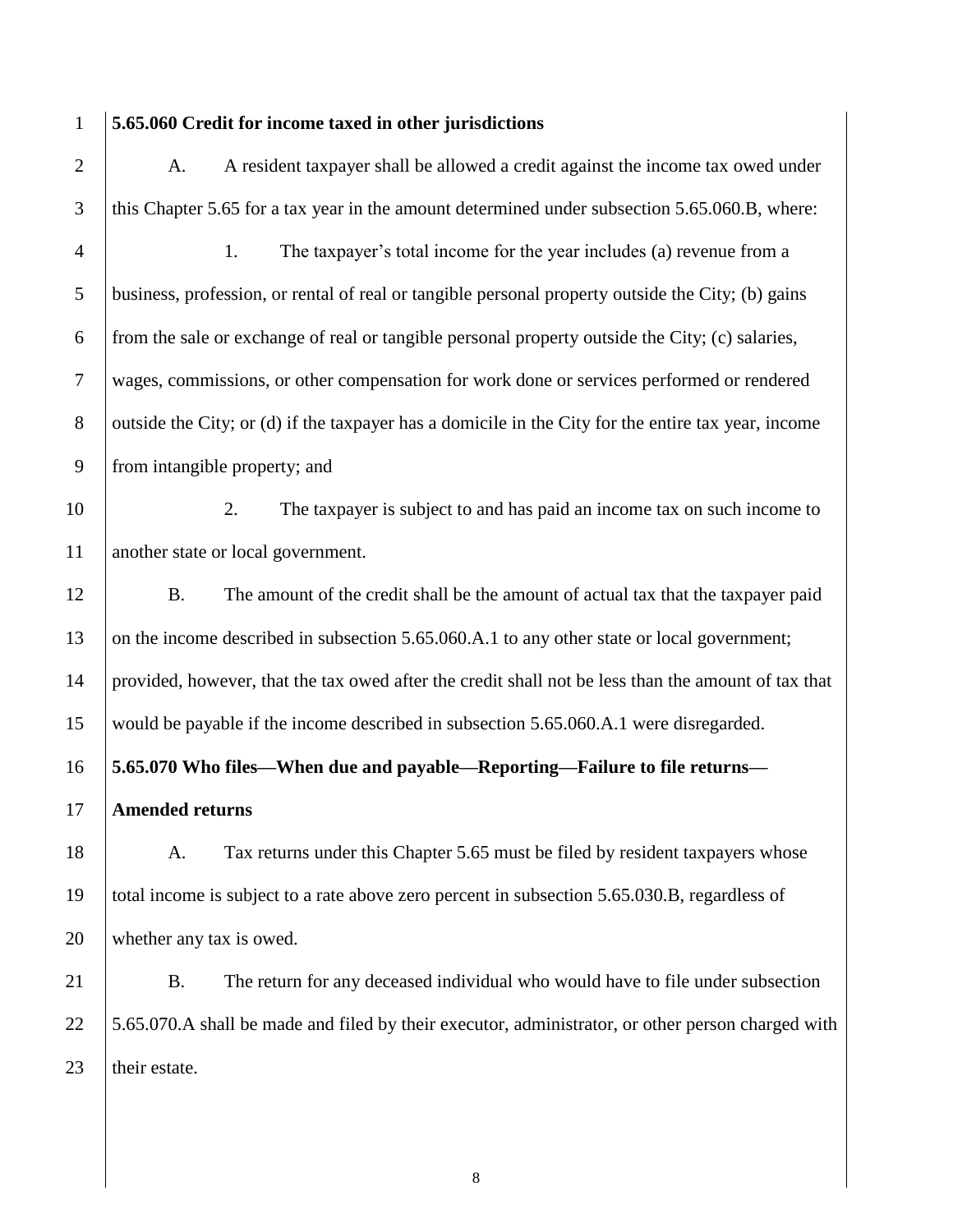### **5.65.060 Credit for income taxed in other jurisdictions**

2 A. A resident taxpayer shall be allowed a credit against the income tax owed under 3 this Chapter 5.65 for a tax year in the amount determined under subsection 5.65.060.B, where: 1. The taxpayer's total income for the year includes (a) revenue from a business, profession, or rental of real or tangible personal property outside the City; (b) gains 6 from the sale or exchange of real or tangible personal property outside the City; (c) salaries, wages, commissions, or other compensation for work done or services performed or rendered 8 outside the City; or (d) if the taxpayer has a domicile in the City for the entire tax year, income from intangible property; and 2. The taxpayer is subject to and has paid an income tax on such income to

another state or local government.

 B. The amount of the credit shall be the amount of actual tax that the taxpayer paid 13 on the income described in subsection 5.65.060.A.1 to any other state or local government; provided, however, that the tax owed after the credit shall not be less than the amount of tax that would be payable if the income described in subsection 5.65.060.A.1 were disregarded.

**5.65.070 Who files—When due and payable—Reporting—Failure to file returns—**

**Amended returns**

18 A. Tax returns under this Chapter 5.65 must be filed by resident taxpayers whose total income is subject to a rate above zero percent in subsection 5.65.030.B, regardless of whether any tax is owed.

 B. The return for any deceased individual who would have to file under subsection 22 5.65.070.A shall be made and filed by their executor, administrator, or other person charged with their estate.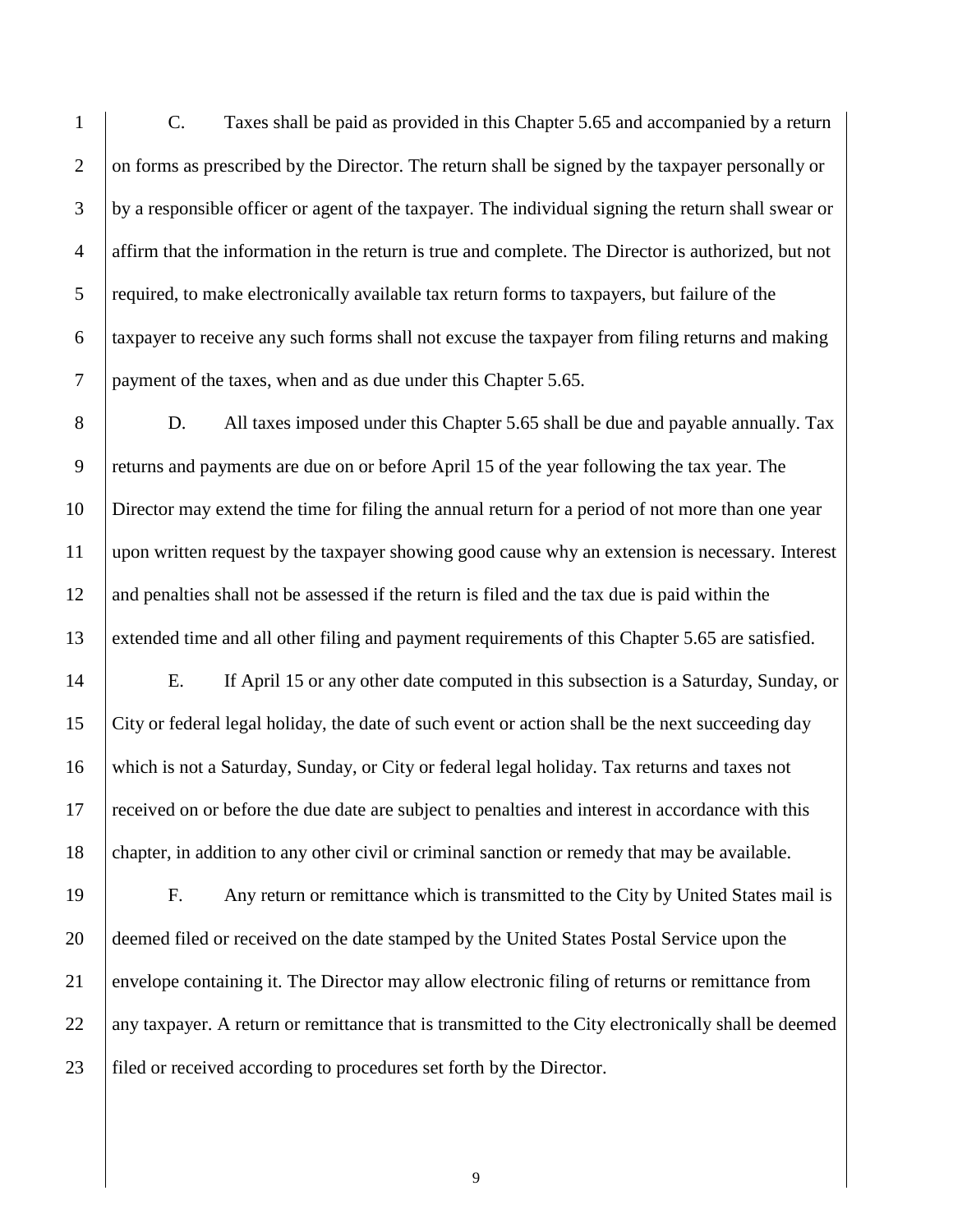C. Taxes shall be paid as provided in this Chapter 5.65 and accompanied by a return 2 on forms as prescribed by the Director. The return shall be signed by the taxpayer personally or by a responsible officer or agent of the taxpayer. The individual signing the return shall swear or affirm that the information in the return is true and complete. The Director is authorized, but not 5 required, to make electronically available tax return forms to taxpayers, but failure of the taxpayer to receive any such forms shall not excuse the taxpayer from filing returns and making 7 | payment of the taxes, when and as due under this Chapter 5.65.

8 D. All taxes imposed under this Chapter 5.65 shall be due and payable annually. Tax returns and payments are due on or before April 15 of the year following the tax year. The Director may extend the time for filing the annual return for a period of not more than one year upon written request by the taxpayer showing good cause why an extension is necessary. Interest and penalties shall not be assessed if the return is filed and the tax due is paid within the extended time and all other filing and payment requirements of this Chapter 5.65 are satisfied.

 E. If April 15 or any other date computed in this subsection is a Saturday, Sunday, or City or federal legal holiday, the date of such event or action shall be the next succeeding day which is not a Saturday, Sunday, or City or federal legal holiday. Tax returns and taxes not received on or before the due date are subject to penalties and interest in accordance with this 18 chapter, in addition to any other civil or criminal sanction or remedy that may be available.

 F. Any return or remittance which is transmitted to the City by United States mail is deemed filed or received on the date stamped by the United States Postal Service upon the envelope containing it. The Director may allow electronic filing of returns or remittance from any taxpayer. A return or remittance that is transmitted to the City electronically shall be deemed filed or received according to procedures set forth by the Director.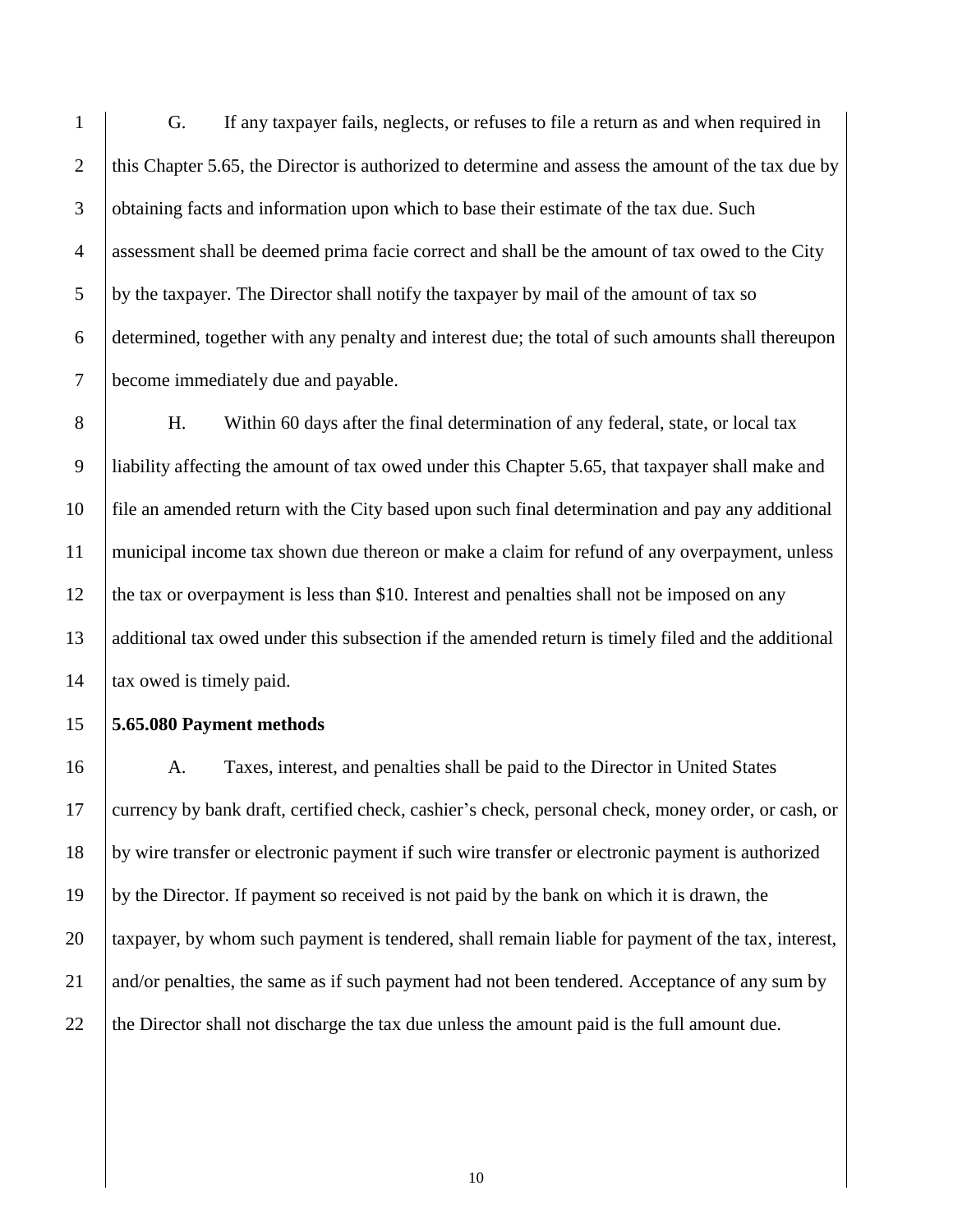G. If any taxpayer fails, neglects, or refuses to file a return as and when required in 2 this Chapter 5.65, the Director is authorized to determine and assess the amount of the tax due by 3 obtaining facts and information upon which to base their estimate of the tax due. Such assessment shall be deemed prima facie correct and shall be the amount of tax owed to the City by the taxpayer. The Director shall notify the taxpayer by mail of the amount of tax so determined, together with any penalty and interest due; the total of such amounts shall thereupon become immediately due and payable.

8 H. Within 60 days after the final determination of any federal, state, or local tax liability affecting the amount of tax owed under this Chapter 5.65, that taxpayer shall make and file an amended return with the City based upon such final determination and pay any additional municipal income tax shown due thereon or make a claim for refund of any overpayment, unless the tax or overpayment is less than \$10. Interest and penalties shall not be imposed on any additional tax owed under this subsection if the amended return is timely filed and the additional 14 tax owed is timely paid.

### **5.65.080 Payment methods**

 A. Taxes, interest, and penalties shall be paid to the Director in United States currency by bank draft, certified check, cashier's check, personal check, money order, or cash, or by wire transfer or electronic payment if such wire transfer or electronic payment is authorized by the Director. If payment so received is not paid by the bank on which it is drawn, the taxpayer, by whom such payment is tendered, shall remain liable for payment of the tax, interest, 21 and/or penalties, the same as if such payment had not been tendered. Acceptance of any sum by 22 the Director shall not discharge the tax due unless the amount paid is the full amount due.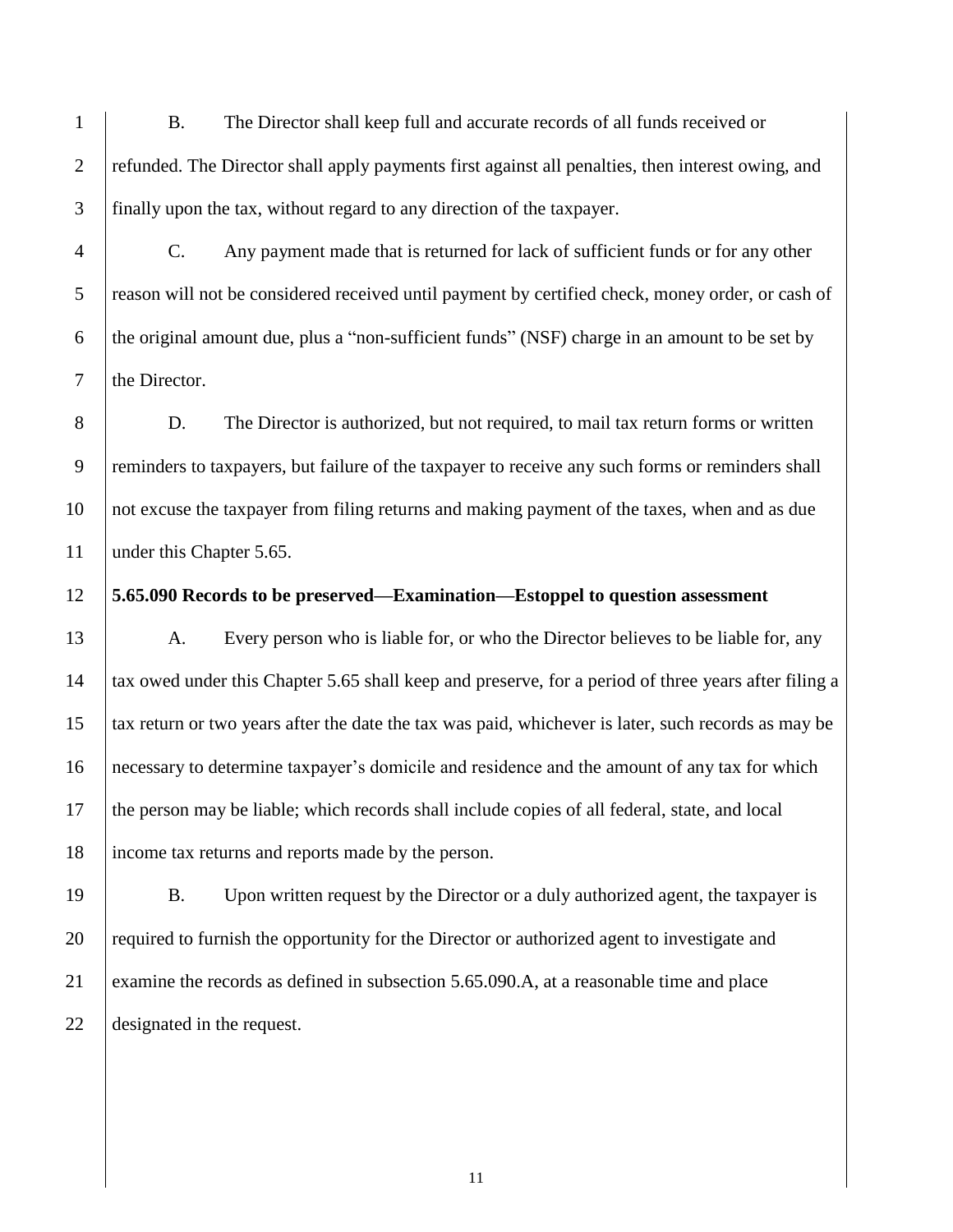B. The Director shall keep full and accurate records of all funds received or 2 refunded. The Director shall apply payments first against all penalties, then interest owing, and finally upon the tax, without regard to any direction of the taxpayer.

 C. Any payment made that is returned for lack of sufficient funds or for any other 5 reason will not be considered received until payment by certified check, money order, or cash of 6 the original amount due, plus a "non-sufficient funds" (NSF) charge in an amount to be set by the Director.

8 D. The Director is authorized, but not required, to mail tax return forms or written 9 reminders to taxpayers, but failure of the taxpayer to receive any such forms or reminders shall not excuse the taxpayer from filing returns and making payment of the taxes, when and as due 11 | under this Chapter 5.65.

### **5.65.090 Records to be preserved—Examination—Estoppel to question assessment**

13 A. Every person who is liable for, or who the Director believes to be liable for, any tax owed under this Chapter 5.65 shall keep and preserve, for a period of three years after filing a tax return or two years after the date the tax was paid, whichever is later, such records as may be necessary to determine taxpayer's domicile and residence and the amount of any tax for which the person may be liable; which records shall include copies of all federal, state, and local income tax returns and reports made by the person.

19 B. Upon written request by the Director or a duly authorized agent, the taxpayer is 20 required to furnish the opportunity for the Director or authorized agent to investigate and examine the records as defined in subsection 5.65.090.A, at a reasonable time and place designated in the request.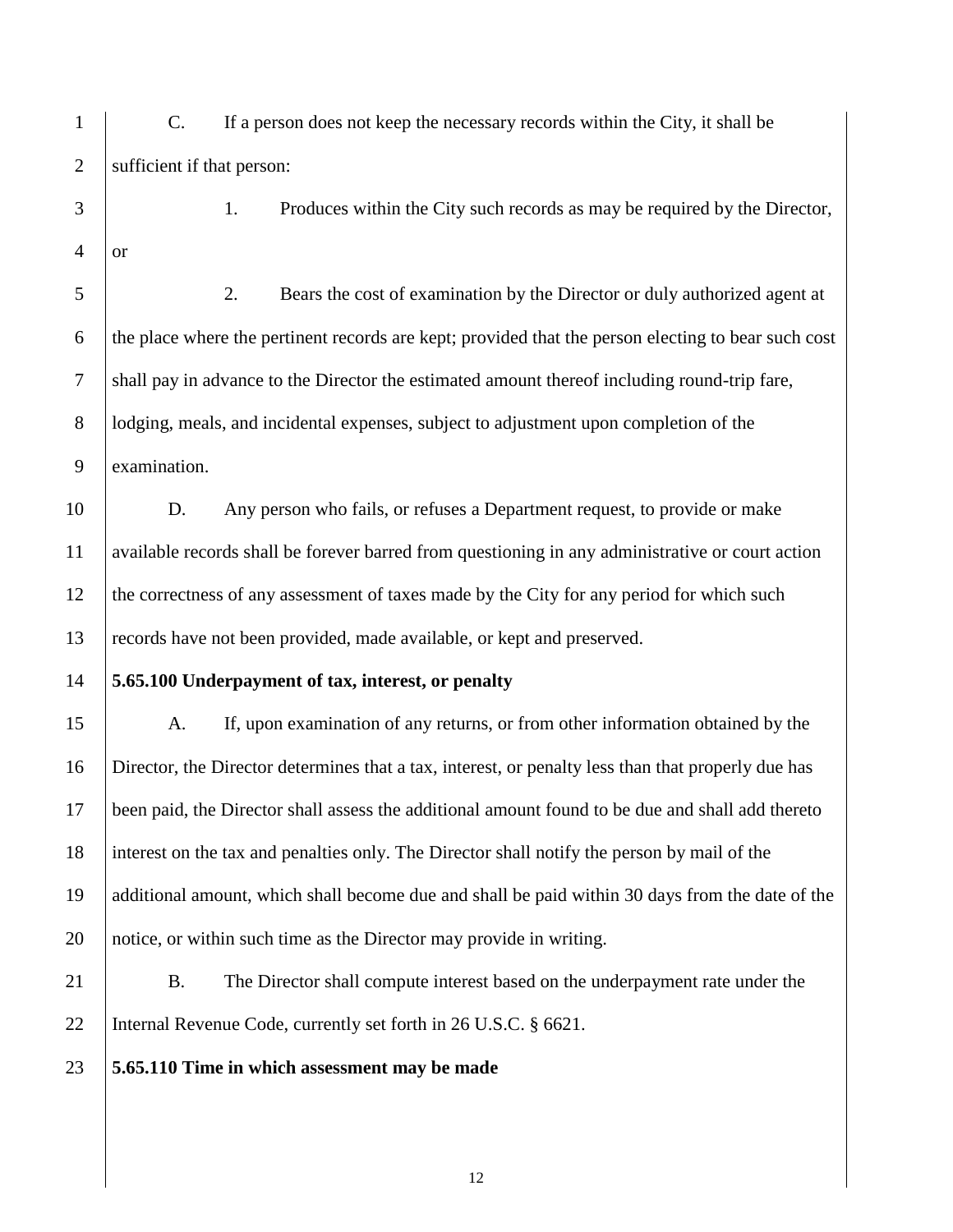C. If a person does not keep the necessary records within the City, it shall be sufficient if that person: 1. Produces within the City such records as may be required by the Director, or 2. Bears the cost of examination by the Director or duly authorized agent at the place where the pertinent records are kept; provided that the person electing to bear such cost shall pay in advance to the Director the estimated amount thereof including round-trip fare, **lodging, meals, and incidental expenses, subject to adjustment upon completion of the**  examination. D. Any person who fails, or refuses a Department request, to provide or make available records shall be forever barred from questioning in any administrative or court action 12 the correctness of any assessment of taxes made by the City for any period for which such records have not been provided, made available, or kept and preserved. **5.65.100 Underpayment of tax, interest, or penalty** A. If, upon examination of any returns, or from other information obtained by the Director, the Director determines that a tax, interest, or penalty less than that properly due has been paid, the Director shall assess the additional amount found to be due and shall add thereto interest on the tax and penalties only. The Director shall notify the person by mail of the additional amount, which shall become due and shall be paid within 30 days from the date of the notice, or within such time as the Director may provide in writing. B. The Director shall compute interest based on the underpayment rate under the 22 | Internal Revenue Code, currently set forth in 26 U.S.C. § 6621. **5.65.110 Time in which assessment may be made**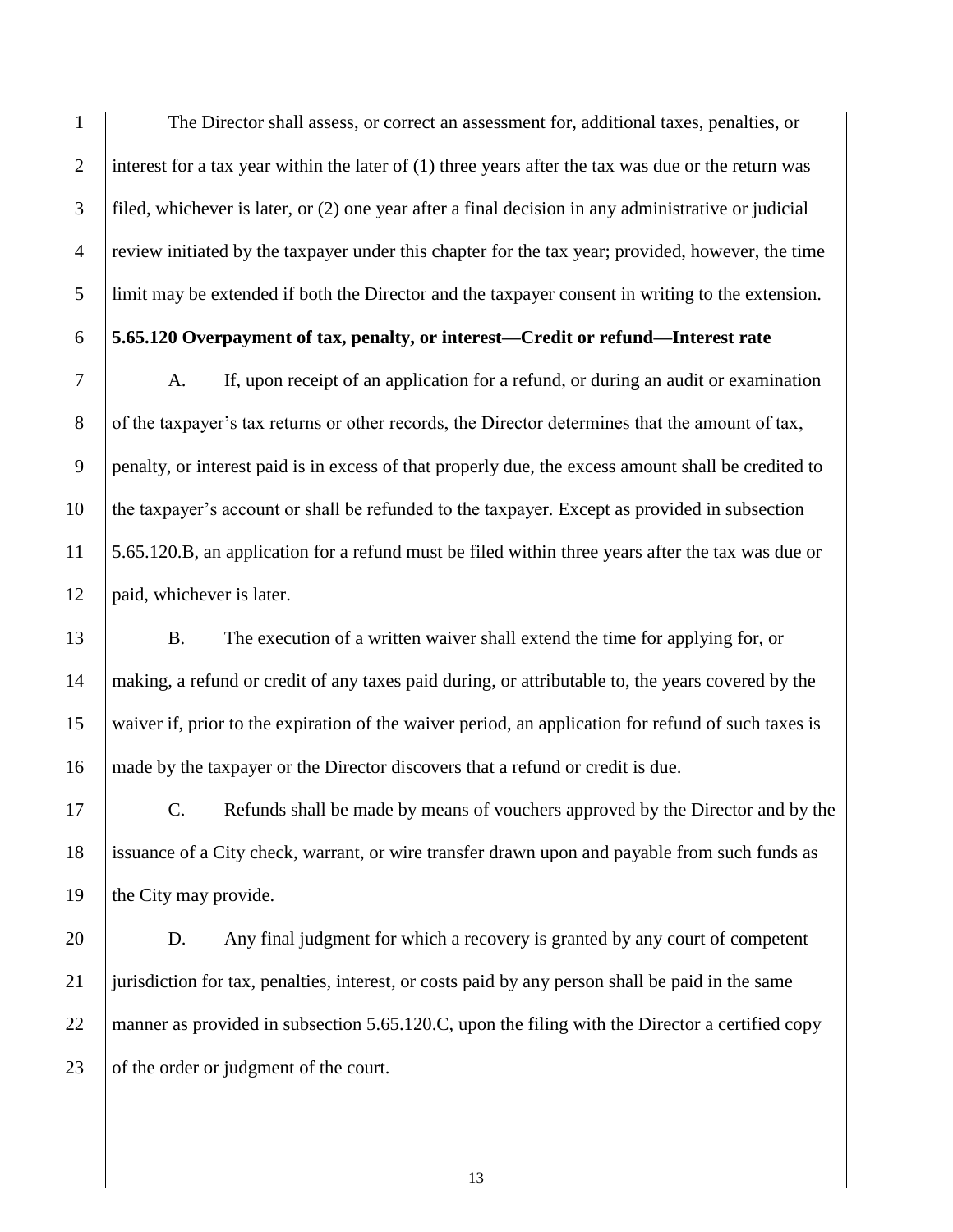The Director shall assess, or correct an assessment for, additional taxes, penalties, or 2 interest for a tax year within the later of  $(1)$  three years after the tax was due or the return was filed, whichever is later, or (2) one year after a final decision in any administrative or judicial review initiated by the taxpayer under this chapter for the tax year; provided, however, the time limit may be extended if both the Director and the taxpayer consent in writing to the extension.

## **5.65.120 Overpayment of tax, penalty, or interest—Credit or refund—Interest rate**

 A. If, upon receipt of an application for a refund, or during an audit or examination 8 of the taxpayer's tax returns or other records, the Director determines that the amount of tax, penalty, or interest paid is in excess of that properly due, the excess amount shall be credited to the taxpayer's account or shall be refunded to the taxpayer. Except as provided in subsection 5.65.120.B, an application for a refund must be filed within three years after the tax was due or 12 | paid, whichever is later.

 B. The execution of a written waiver shall extend the time for applying for, or making, a refund or credit of any taxes paid during, or attributable to, the years covered by the waiver if, prior to the expiration of the waiver period, an application for refund of such taxes is made by the taxpayer or the Director discovers that a refund or credit is due.

 C. Refunds shall be made by means of vouchers approved by the Director and by the issuance of a City check, warrant, or wire transfer drawn upon and payable from such funds as 19  $\parallel$  the City may provide.

 D. Any final judgment for which a recovery is granted by any court of competent jurisdiction for tax, penalties, interest, or costs paid by any person shall be paid in the same 22 manner as provided in subsection 5.65.120.C, upon the filing with the Director a certified copy  $\vert$  of the order or judgment of the court.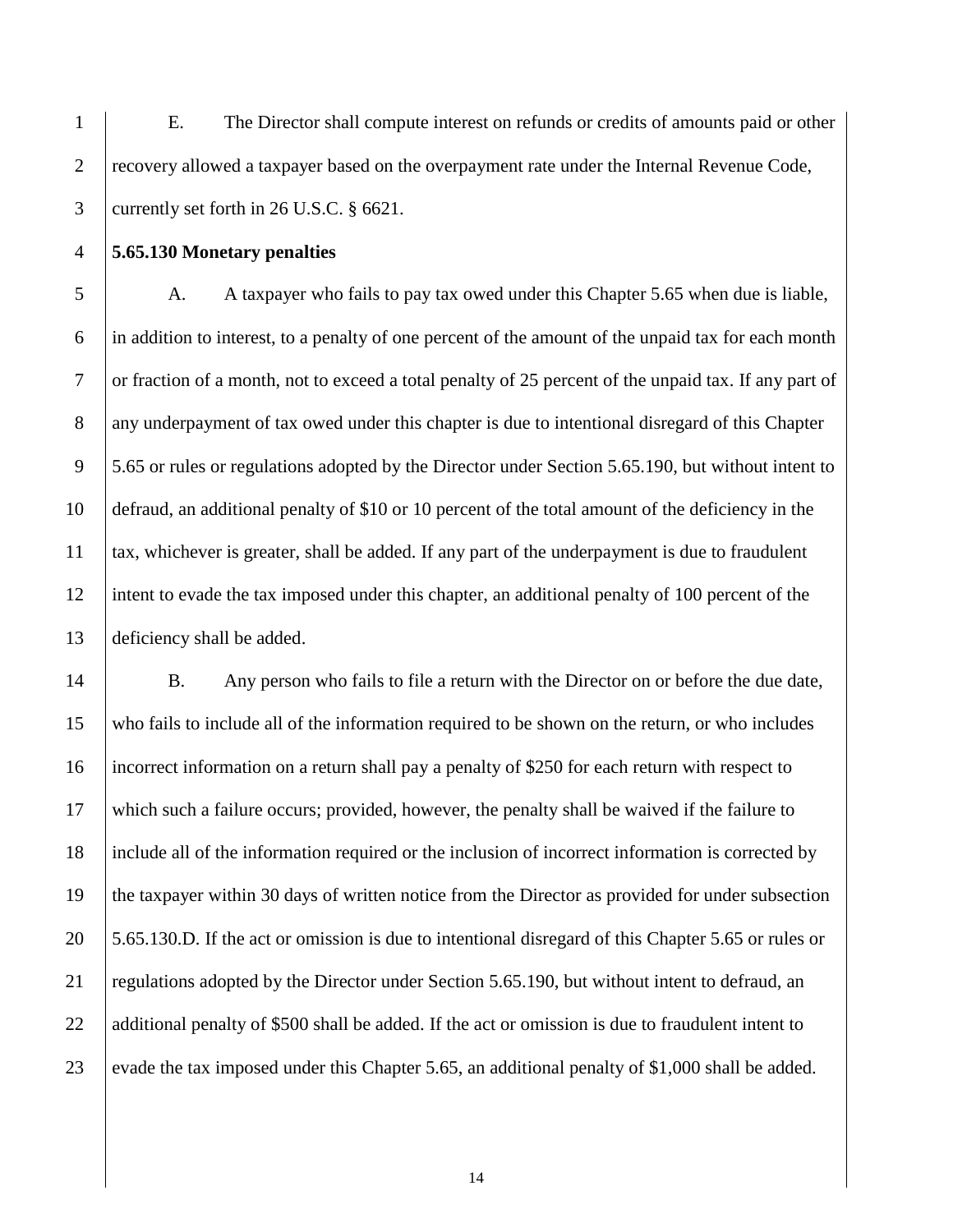E. The Director shall compute interest on refunds or credits of amounts paid or other recovery allowed a taxpayer based on the overpayment rate under the Internal Revenue Code, currently set forth in 26 U.S.C. § 6621.

**5.65.130 Monetary penalties**

5 A. A taxpayer who fails to pay tax owed under this Chapter 5.65 when due is liable, in addition to interest, to a penalty of one percent of the amount of the unpaid tax for each month 7 or fraction of a month, not to exceed a total penalty of 25 percent of the unpaid tax. If any part of any underpayment of tax owed under this chapter is due to intentional disregard of this Chapter 5.65 or rules or regulations adopted by the Director under Section 5.65.190, but without intent to defraud, an additional penalty of \$10 or 10 percent of the total amount of the deficiency in the tax, whichever is greater, shall be added. If any part of the underpayment is due to fraudulent intent to evade the tax imposed under this chapter, an additional penalty of 100 percent of the deficiency shall be added.

 B. Any person who fails to file a return with the Director on or before the due date, who fails to include all of the information required to be shown on the return, or who includes incorrect information on a return shall pay a penalty of \$250 for each return with respect to which such a failure occurs; provided, however, the penalty shall be waived if the failure to include all of the information required or the inclusion of incorrect information is corrected by the taxpayer within 30 days of written notice from the Director as provided for under subsection 5.65.130.D. If the act or omission is due to intentional disregard of this Chapter 5.65 or rules or regulations adopted by the Director under Section 5.65.190, but without intent to defraud, an 22 additional penalty of \$500 shall be added. If the act or omission is due to fraudulent intent to 23 evade the tax imposed under this Chapter 5.65, an additional penalty of \$1,000 shall be added.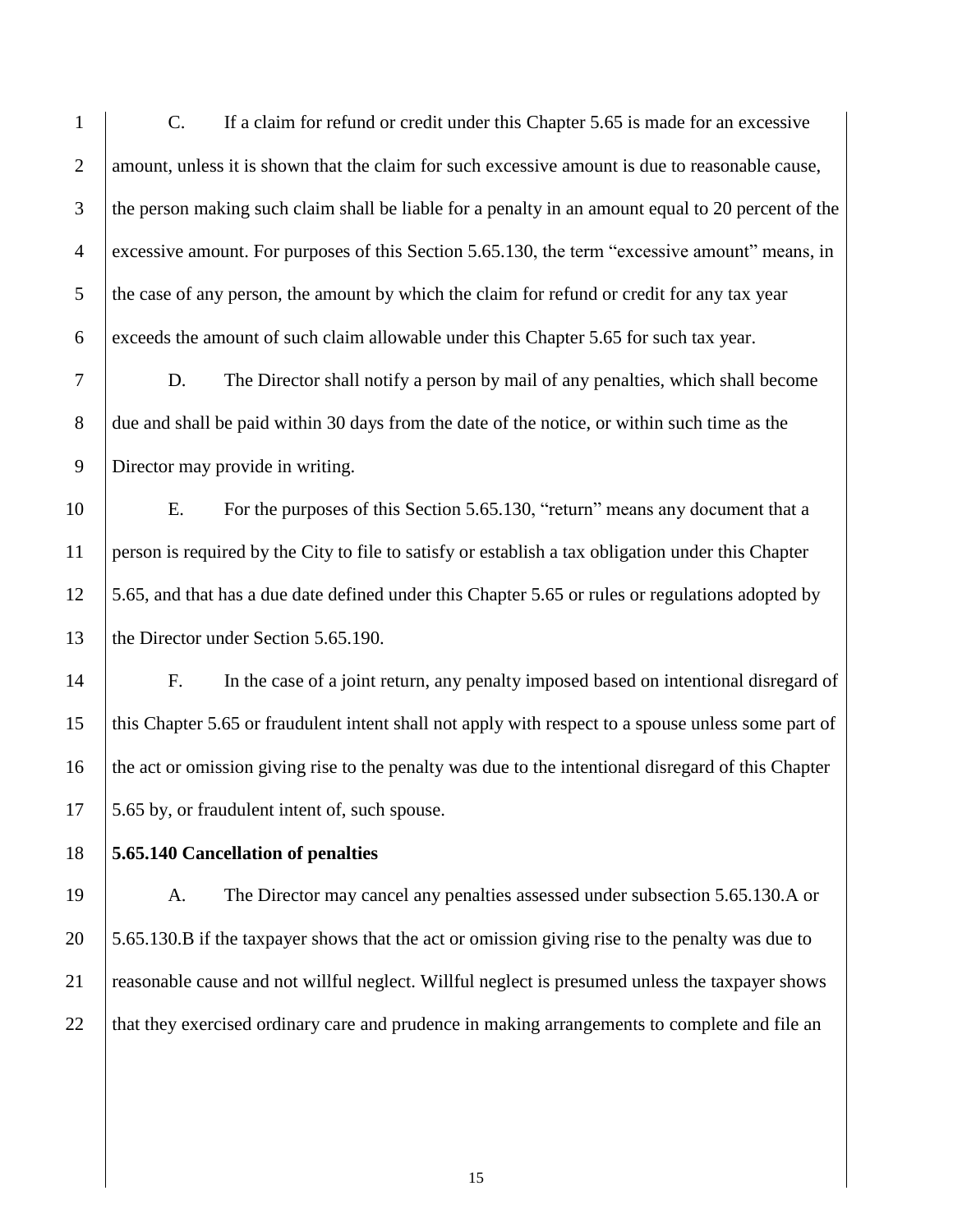C. If a claim for refund or credit under this Chapter 5.65 is made for an excessive 2 amount, unless it is shown that the claim for such excessive amount is due to reasonable cause, the person making such claim shall be liable for a penalty in an amount equal to 20 percent of the excessive amount. For purposes of this Section 5.65.130, the term "excessive amount" means, in 5 the case of any person, the amount by which the claim for refund or credit for any tax year exceeds the amount of such claim allowable under this Chapter 5.65 for such tax year.

 D. The Director shall notify a person by mail of any penalties, which shall become 8 due and shall be paid within 30 days from the date of the notice, or within such time as the Director may provide in writing.

 E. For the purposes of this Section 5.65.130, "return" means any document that a person is required by the City to file to satisfy or establish a tax obligation under this Chapter 5.65, and that has a due date defined under this Chapter 5.65 or rules or regulations adopted by 13 the Director under Section 5.65.190.

 F. In the case of a joint return, any penalty imposed based on intentional disregard of this Chapter 5.65 or fraudulent intent shall not apply with respect to a spouse unless some part of the act or omission giving rise to the penalty was due to the intentional disregard of this Chapter 17 5.65 by, or fraudulent intent of, such spouse.

**5.65.140 Cancellation of penalties**

 A. The Director may cancel any penalties assessed under subsection 5.65.130.A or 5.65.130.B if the taxpayer shows that the act or omission giving rise to the penalty was due to reasonable cause and not willful neglect. Willful neglect is presumed unless the taxpayer shows 22 that they exercised ordinary care and prudence in making arrangements to complete and file an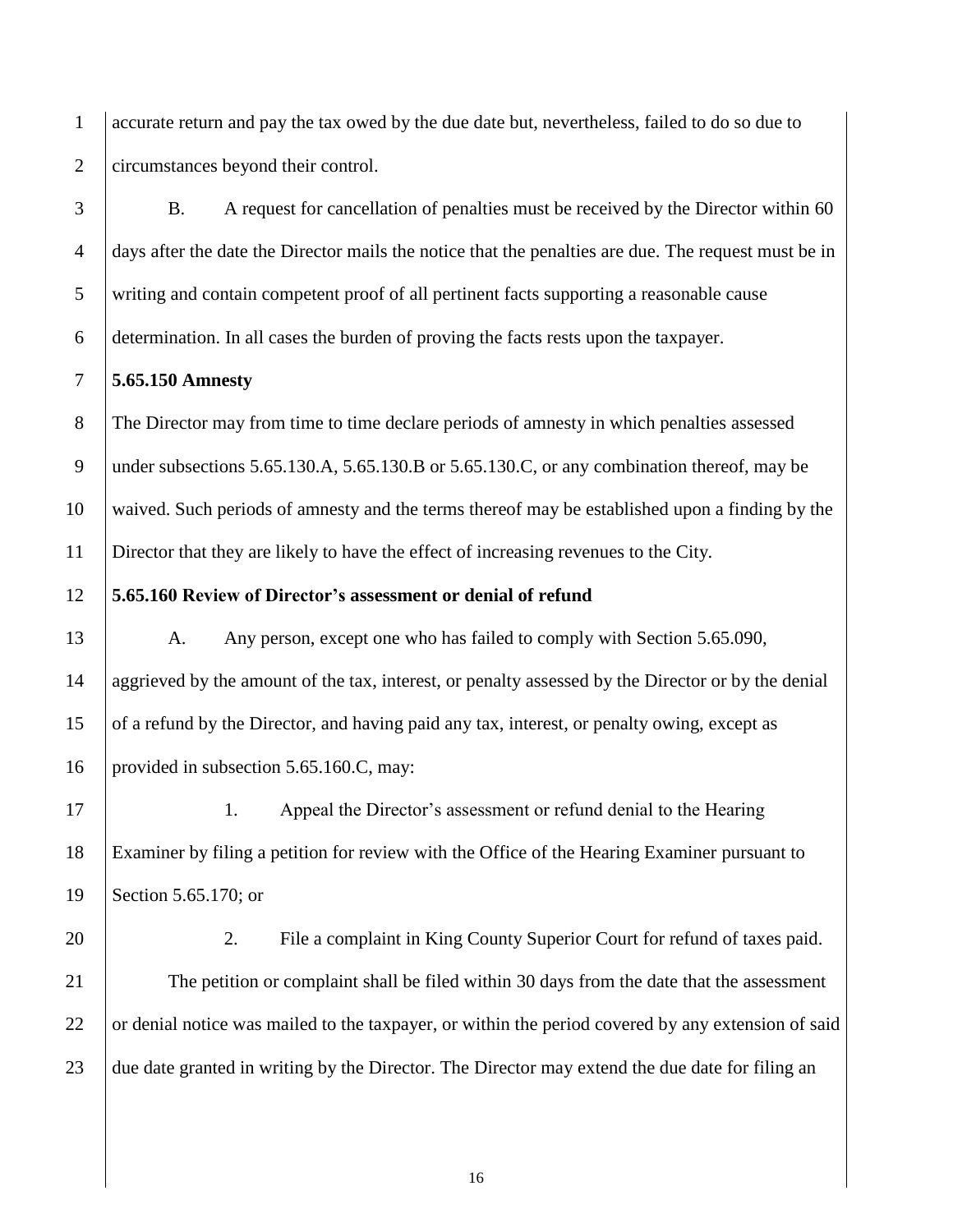1 accurate return and pay the tax owed by the due date but, nevertheless, failed to do so due to 2 circumstances beyond their control.

 B. A request for cancellation of penalties must be received by the Director within 60 days after the date the Director mails the notice that the penalties are due. The request must be in writing and contain competent proof of all pertinent facts supporting a reasonable cause determination. In all cases the burden of proving the facts rests upon the taxpayer.

## 7 **5.65.150 Amnesty**

 The Director may from time to time declare periods of amnesty in which penalties assessed 9 under subsections 5.65.130.A, 5.65.130.B or 5.65.130.C, or any combination thereof, may be waived. Such periods of amnesty and the terms thereof may be established upon a finding by the Director that they are likely to have the effect of increasing revenues to the City.

# 12 **5.65.160 Review of Director's assessment or denial of refund**

13 A. Any person, except one who has failed to comply with Section 5.65.090, 14 aggrieved by the amount of the tax, interest, or penalty assessed by the Director or by the denial 15 of a refund by the Director, and having paid any tax, interest, or penalty owing, except as 16 provided in subsection 5.65.160.C, may:

17 1. Appeal the Director's assessment or refund denial to the Hearing 18 Examiner by filing a petition for review with the Office of the Hearing Examiner pursuant to 19 | Section 5.65.170; or

20 2. File a complaint in King County Superior Court for refund of taxes paid.

21 The petition or complaint shall be filed within 30 days from the date that the assessment 22 or denial notice was mailed to the taxpayer, or within the period covered by any extension of said 23 due date granted in writing by the Director. The Director may extend the due date for filing an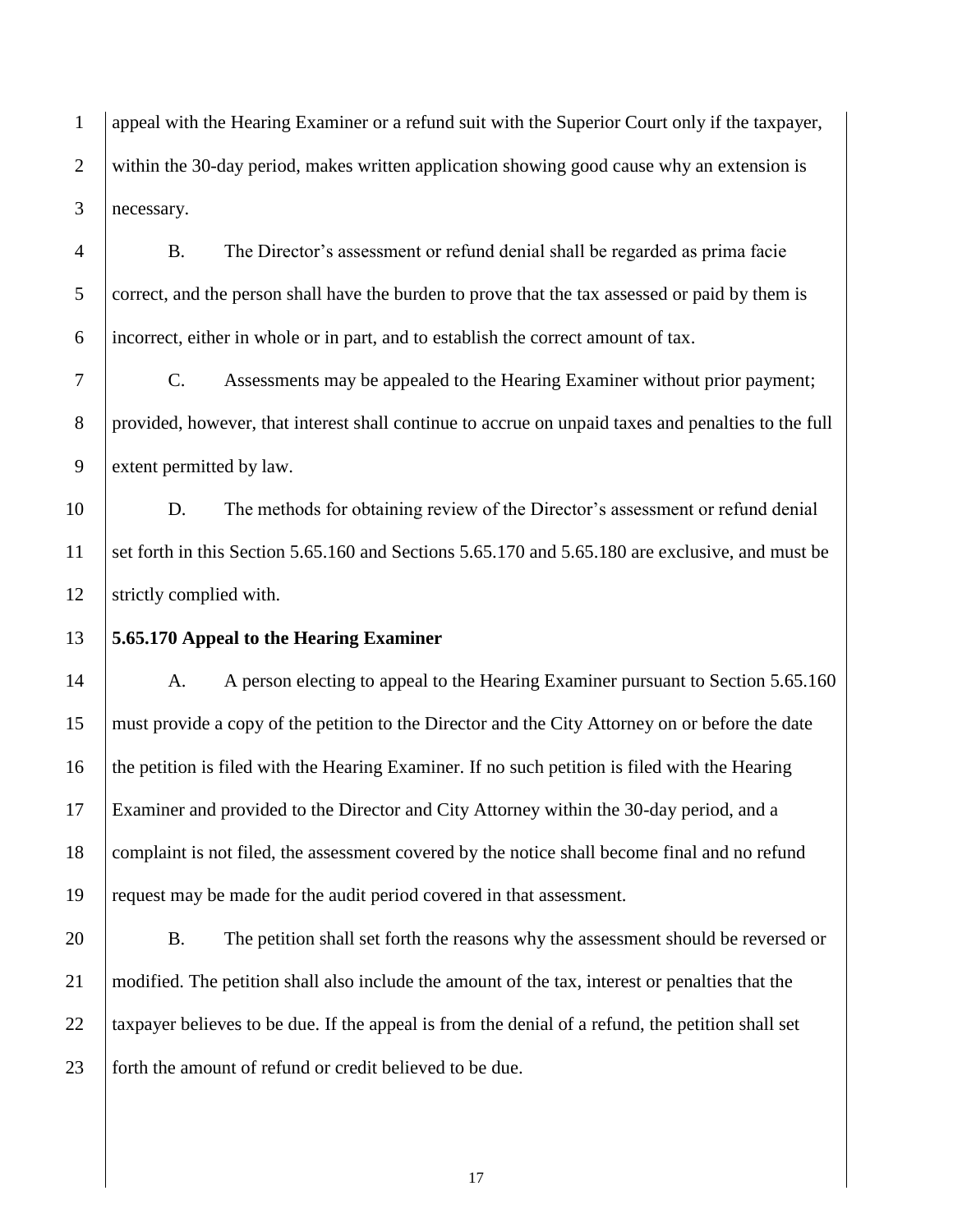appeal with the Hearing Examiner or a refund suit with the Superior Court only if the taxpayer, 2 within the 30-day period, makes written application showing good cause why an extension is necessary.

 B. The Director's assessment or refund denial shall be regarded as prima facie 5 correct, and the person shall have the burden to prove that the tax assessed or paid by them is incorrect, either in whole or in part, and to establish the correct amount of tax.

 C. Assessments may be appealed to the Hearing Examiner without prior payment; provided, however, that interest shall continue to accrue on unpaid taxes and penalties to the full extent permitted by law.

 D. The methods for obtaining review of the Director's assessment or refund denial set forth in this Section 5.65.160 and Sections 5.65.170 and 5.65.180 are exclusive, and must be 12 Strictly complied with.

## **5.65.170 Appeal to the Hearing Examiner**

14 A. A person electing to appeal to the Hearing Examiner pursuant to Section 5.65.160 must provide a copy of the petition to the Director and the City Attorney on or before the date the petition is filed with the Hearing Examiner. If no such petition is filed with the Hearing Examiner and provided to the Director and City Attorney within the 30-day period, and a 18 complaint is not filed, the assessment covered by the notice shall become final and no refund request may be made for the audit period covered in that assessment.

20 B. The petition shall set forth the reasons why the assessment should be reversed or modified. The petition shall also include the amount of the tax, interest or penalties that the 22 taxpayer believes to be due. If the appeal is from the denial of a refund, the petition shall set 23 forth the amount of refund or credit believed to be due.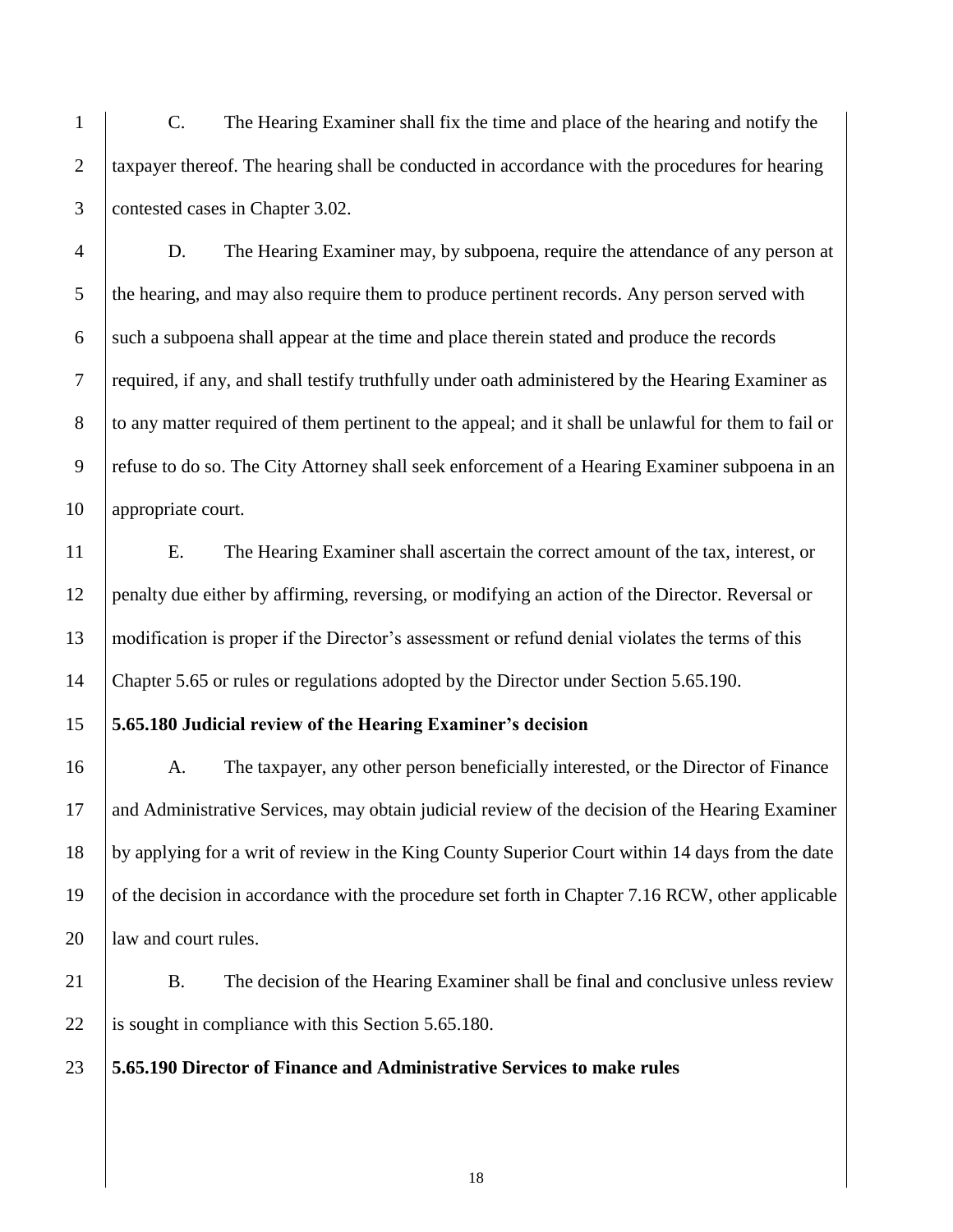C. The Hearing Examiner shall fix the time and place of the hearing and notify the taxpayer thereof. The hearing shall be conducted in accordance with the procedures for hearing contested cases in Chapter 3.02.

 D. The Hearing Examiner may, by subpoena, require the attendance of any person at 5 the hearing, and may also require them to produce pertinent records. Any person served with 6 such a subpoena shall appear at the time and place therein stated and produce the records required, if any, and shall testify truthfully under oath administered by the Hearing Examiner as 8 to any matter required of them pertinent to the appeal; and it shall be unlawful for them to fail or refuse to do so. The City Attorney shall seek enforcement of a Hearing Examiner subpoena in an 10 appropriate court.

 E. The Hearing Examiner shall ascertain the correct amount of the tax, interest, or penalty due either by affirming, reversing, or modifying an action of the Director. Reversal or modification is proper if the Director's assessment or refund denial violates the terms of this Chapter 5.65 or rules or regulations adopted by the Director under Section 5.65.190.

# **5.65.180 Judicial review of the Hearing Examiner's decision**

16 A. The taxpayer, any other person beneficially interested, or the Director of Finance and Administrative Services, may obtain judicial review of the decision of the Hearing Examiner by applying for a writ of review in the King County Superior Court within 14 days from the date of the decision in accordance with the procedure set forth in Chapter 7.16 RCW, other applicable **law and court rules.** 

21 B. The decision of the Hearing Examiner shall be final and conclusive unless review 22 is sought in compliance with this Section  $5.65.180$ .

**5.65.190 Director of Finance and Administrative Services to make rules**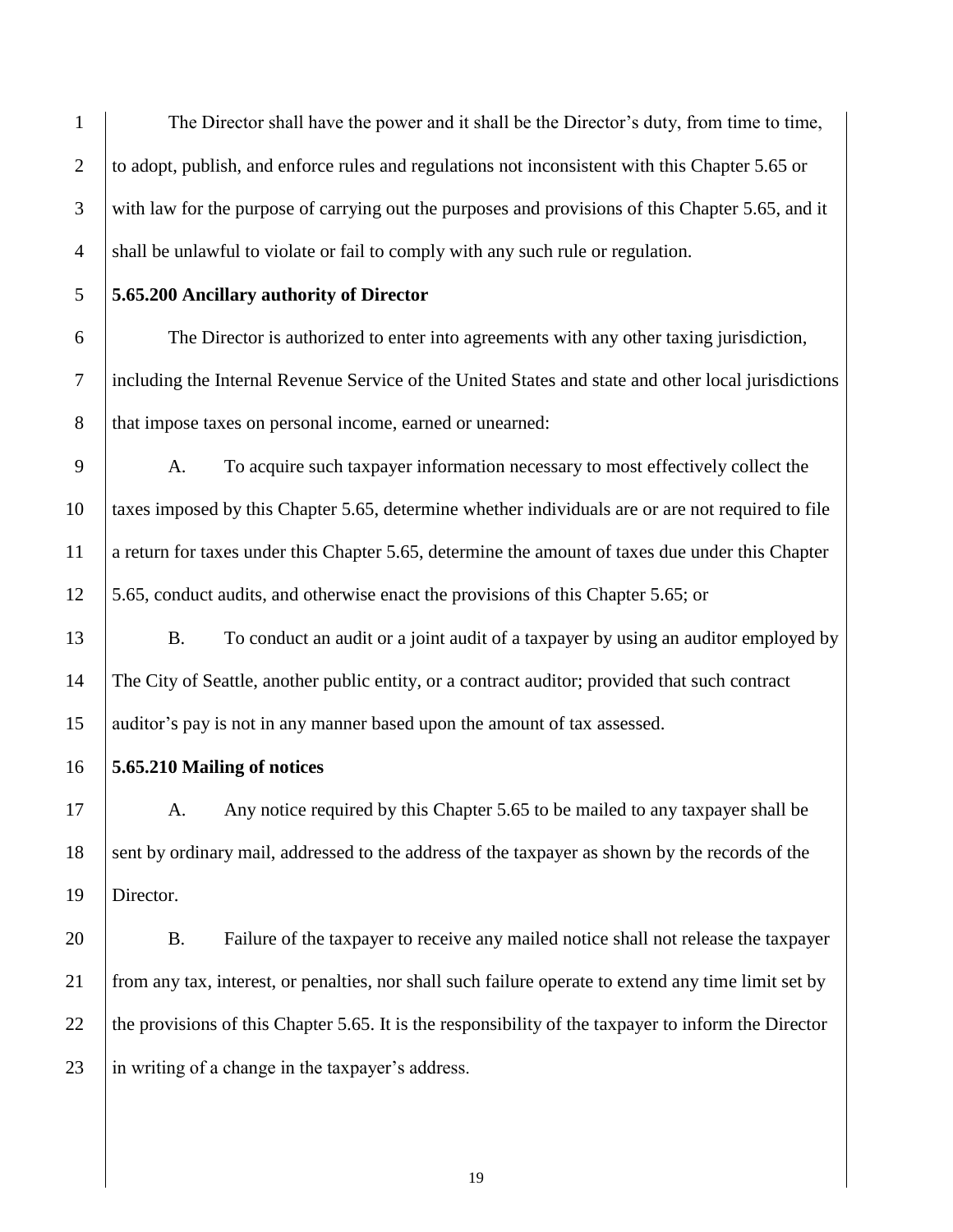The Director shall have the power and it shall be the Director's duty, from time to time, 2 to adopt, publish, and enforce rules and regulations not inconsistent with this Chapter 5.65 or with law for the purpose of carrying out the purposes and provisions of this Chapter 5.65, and it 4 shall be unlawful to violate or fail to comply with any such rule or regulation.

**5.65.200 Ancillary authority of Director**

 The Director is authorized to enter into agreements with any other taxing jurisdiction, including the Internal Revenue Service of the United States and state and other local jurisdictions 8 that impose taxes on personal income, earned or unearned:

 A. To acquire such taxpayer information necessary to most effectively collect the taxes imposed by this Chapter 5.65, determine whether individuals are or are not required to file a return for taxes under this Chapter 5.65, determine the amount of taxes due under this Chapter 5.65, conduct audits, and otherwise enact the provisions of this Chapter 5.65; or

13 B. To conduct an audit or a joint audit of a taxpayer by using an auditor employed by The City of Seattle, another public entity, or a contract auditor; provided that such contract auditor's pay is not in any manner based upon the amount of tax assessed.

**5.65.210 Mailing of notices**

17 A. Any notice required by this Chapter 5.65 to be mailed to any taxpayer shall be 18 sent by ordinary mail, addressed to the address of the taxpayer as shown by the records of the Director.

 B. Failure of the taxpayer to receive any mailed notice shall not release the taxpayer from any tax, interest, or penalties, nor shall such failure operate to extend any time limit set by 22 the provisions of this Chapter 5.65. It is the responsibility of the taxpayer to inform the Director  $\parallel$  in writing of a change in the taxpayer's address.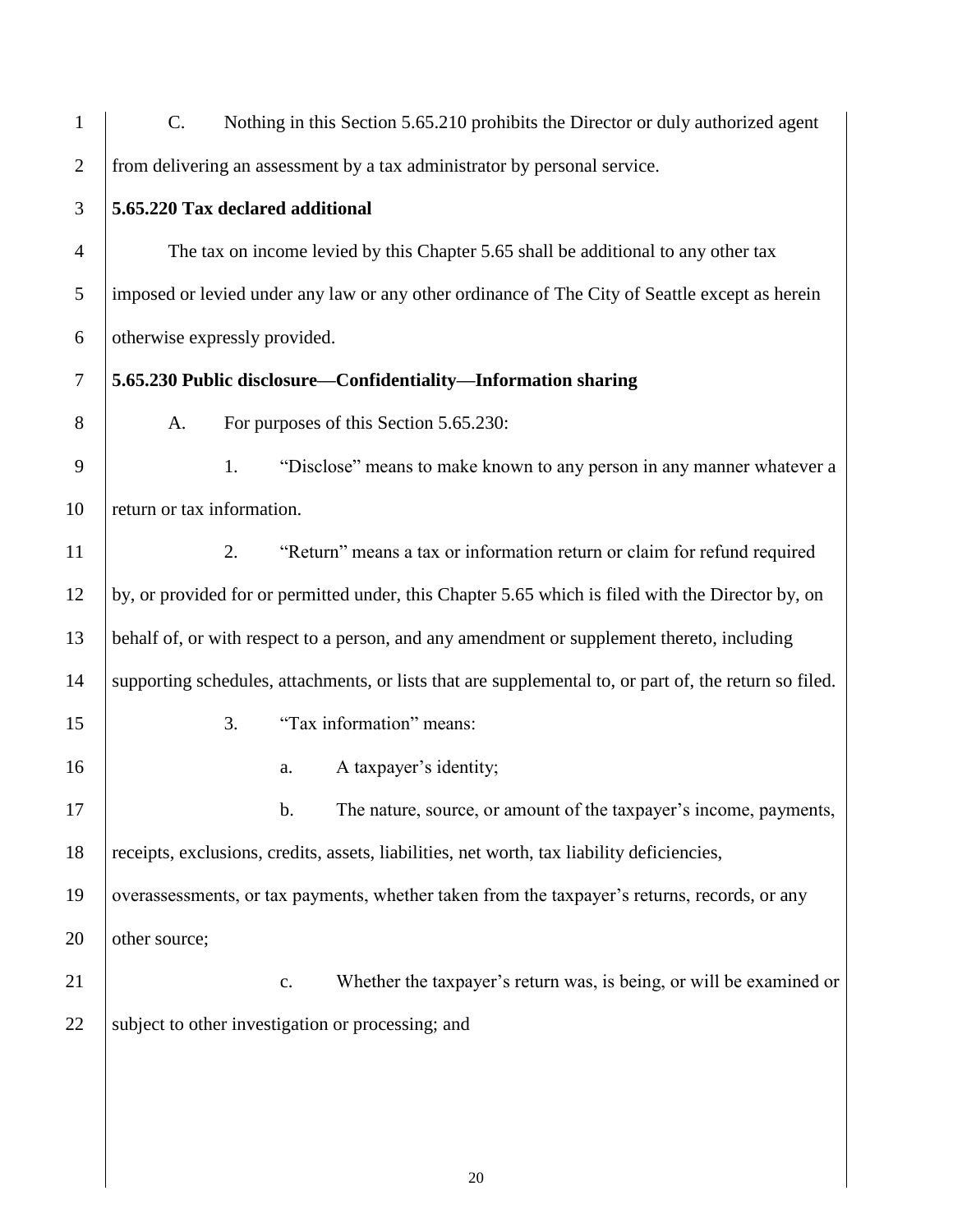| $\mathbf{1}$   | $C$ .                                                                                                  |    |    | Nothing in this Section 5.65.210 prohibits the Director or duly authorized agent |
|----------------|--------------------------------------------------------------------------------------------------------|----|----|----------------------------------------------------------------------------------|
| $\overline{2}$ | from delivering an assessment by a tax administrator by personal service.                              |    |    |                                                                                  |
| 3              | 5.65.220 Tax declared additional                                                                       |    |    |                                                                                  |
| $\overline{4}$ | The tax on income levied by this Chapter 5.65 shall be additional to any other tax                     |    |    |                                                                                  |
| 5              | imposed or levied under any law or any other ordinance of The City of Seattle except as herein         |    |    |                                                                                  |
| 6              | otherwise expressly provided.                                                                          |    |    |                                                                                  |
| $\tau$         | 5.65.230 Public disclosure—Confidentiality—Information sharing                                         |    |    |                                                                                  |
| 8              | A.                                                                                                     |    |    | For purposes of this Section 5.65.230:                                           |
| 9              |                                                                                                        | 1. |    | "Disclose" means to make known to any person in any manner whatever a            |
| 10             | return or tax information.                                                                             |    |    |                                                                                  |
| 11             |                                                                                                        | 2. |    | "Return" means a tax or information return or claim for refund required          |
| 12             | by, or provided for or permitted under, this Chapter 5.65 which is filed with the Director by, on      |    |    |                                                                                  |
| 13             | behalf of, or with respect to a person, and any amendment or supplement thereto, including             |    |    |                                                                                  |
| 14             | supporting schedules, attachments, or lists that are supplemental to, or part of, the return so filed. |    |    |                                                                                  |
| 15             |                                                                                                        | 3. |    | "Tax information" means:                                                         |
| 16             |                                                                                                        |    | a. | A taxpayer's identity;                                                           |
| 17             |                                                                                                        |    | b. | The nature, source, or amount of the taxpayer's income, payments,                |
| 18             | receipts, exclusions, credits, assets, liabilities, net worth, tax liability deficiencies,             |    |    |                                                                                  |
| 19             | overassessments, or tax payments, whether taken from the taxpayer's returns, records, or any           |    |    |                                                                                  |
| 20             | other source;                                                                                          |    |    |                                                                                  |
| 21             |                                                                                                        |    | c. | Whether the taxpayer's return was, is being, or will be examined or              |
| 22             | subject to other investigation or processing; and                                                      |    |    |                                                                                  |
|                |                                                                                                        |    |    |                                                                                  |
|                |                                                                                                        |    |    |                                                                                  |
|                |                                                                                                        |    |    |                                                                                  |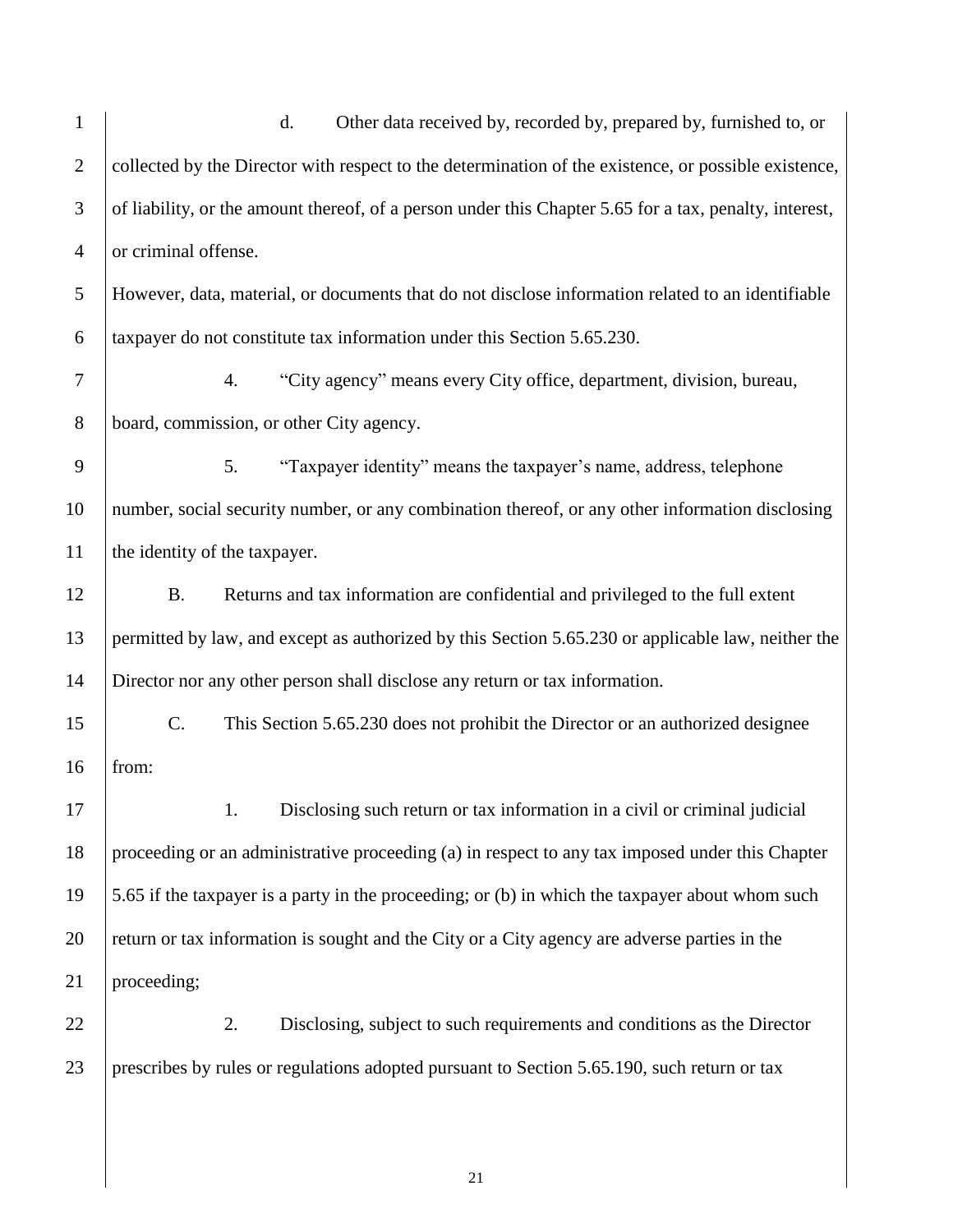| $\mathbf{1}$   | d.<br>Other data received by, recorded by, prepared by, furnished to, or                               |  |  |  |
|----------------|--------------------------------------------------------------------------------------------------------|--|--|--|
| $\overline{2}$ | collected by the Director with respect to the determination of the existence, or possible existence,   |  |  |  |
| 3              | of liability, or the amount thereof, of a person under this Chapter 5.65 for a tax, penalty, interest, |  |  |  |
| $\overline{4}$ | or criminal offense.                                                                                   |  |  |  |
| 5              | However, data, material, or documents that do not disclose information related to an identifiable      |  |  |  |
| 6              | taxpayer do not constitute tax information under this Section 5.65.230.                                |  |  |  |
| $\tau$         | "City agency" means every City office, department, division, bureau,<br>4.                             |  |  |  |
| $8\,$          | board, commission, or other City agency.                                                               |  |  |  |
| 9              | "Taxpayer identity" means the taxpayer's name, address, telephone<br>5.                                |  |  |  |
| 10             | number, social security number, or any combination thereof, or any other information disclosing        |  |  |  |
| 11             | the identity of the taxpayer.                                                                          |  |  |  |
| 12             | Returns and tax information are confidential and privileged to the full extent<br><b>B.</b>            |  |  |  |
| 13             | permitted by law, and except as authorized by this Section 5.65.230 or applicable law, neither the     |  |  |  |
| 14             | Director nor any other person shall disclose any return or tax information.                            |  |  |  |
| 15             | C.<br>This Section 5.65.230 does not prohibit the Director or an authorized designee                   |  |  |  |
| 16             | from:                                                                                                  |  |  |  |
| 17             | 1.<br>Disclosing such return or tax information in a civil or criminal judicial                        |  |  |  |
| 18             | proceeding or an administrative proceeding (a) in respect to any tax imposed under this Chapter        |  |  |  |
| 19             | 5.65 if the taxpayer is a party in the proceeding; or (b) in which the taxpayer about whom such        |  |  |  |
| 20             | return or tax information is sought and the City or a City agency are adverse parties in the           |  |  |  |
| 21             | proceeding;                                                                                            |  |  |  |
| 22             | Disclosing, subject to such requirements and conditions as the Director<br>2.                          |  |  |  |
| 23             | prescribes by rules or regulations adopted pursuant to Section 5.65.190, such return or tax            |  |  |  |
|                |                                                                                                        |  |  |  |
|                |                                                                                                        |  |  |  |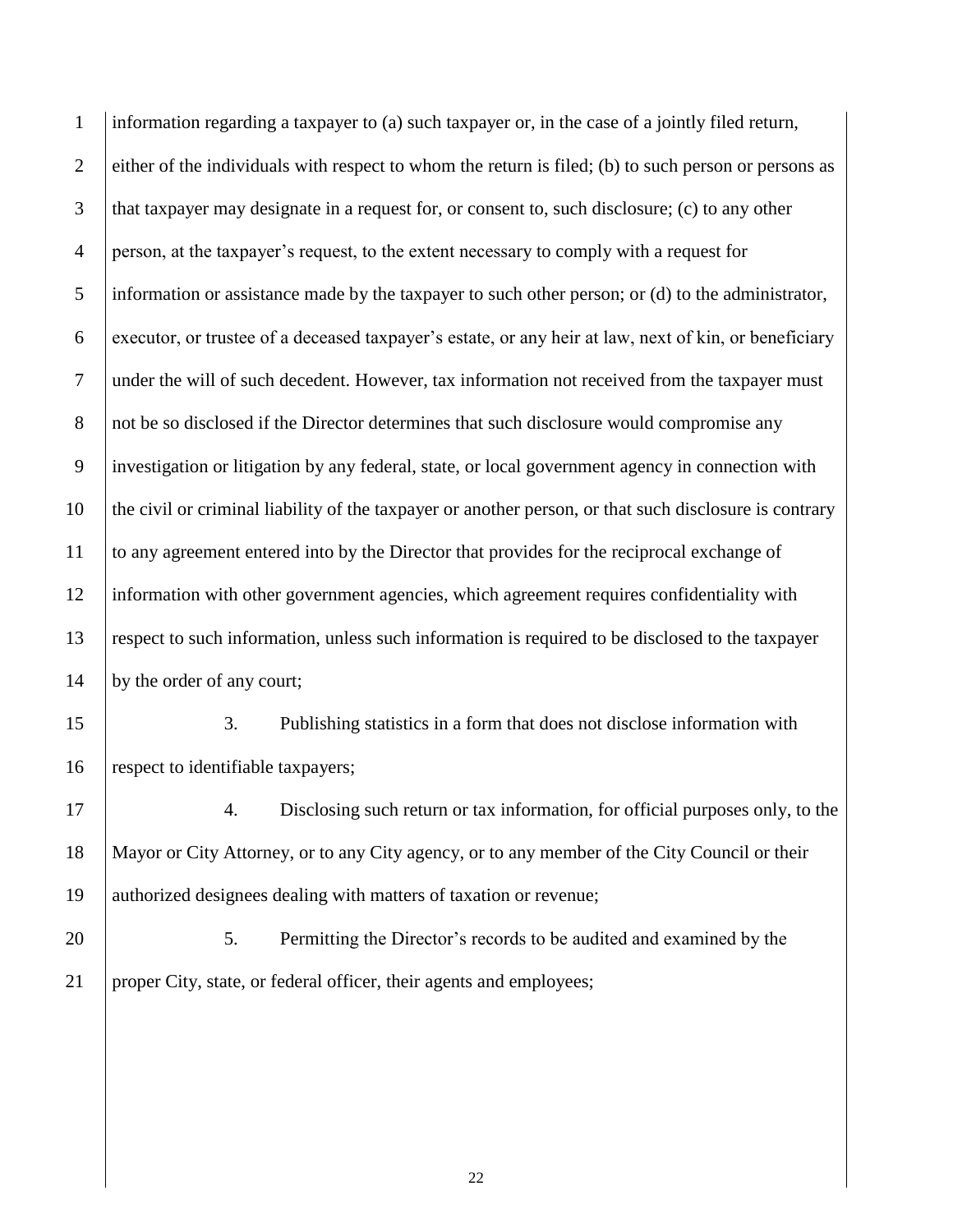| $\mathbf{1}$   | information regarding a taxpayer to (a) such taxpayer or, in the case of a jointly filed return,       |  |  |  |  |
|----------------|--------------------------------------------------------------------------------------------------------|--|--|--|--|
| $\overline{2}$ | either of the individuals with respect to whom the return is filed; (b) to such person or persons as   |  |  |  |  |
| 3              | that taxpayer may designate in a request for, or consent to, such disclosure; (c) to any other         |  |  |  |  |
| $\overline{4}$ | person, at the taxpayer's request, to the extent necessary to comply with a request for                |  |  |  |  |
| 5              | information or assistance made by the taxpayer to such other person; or (d) to the administrator,      |  |  |  |  |
| 6              | executor, or trustee of a deceased taxpayer's estate, or any heir at law, next of kin, or beneficiary  |  |  |  |  |
| $\overline{7}$ | under the will of such decedent. However, tax information not received from the taxpayer must          |  |  |  |  |
| $8\,$          | not be so disclosed if the Director determines that such disclosure would compromise any               |  |  |  |  |
| 9              | investigation or litigation by any federal, state, or local government agency in connection with       |  |  |  |  |
| 10             | the civil or criminal liability of the taxpayer or another person, or that such disclosure is contrary |  |  |  |  |
| 11             | to any agreement entered into by the Director that provides for the reciprocal exchange of             |  |  |  |  |
| 12             | information with other government agencies, which agreement requires confidentiality with              |  |  |  |  |
| 13             | respect to such information, unless such information is required to be disclosed to the taxpayer       |  |  |  |  |
| 14             | by the order of any court;                                                                             |  |  |  |  |
| 15             | 3.<br>Publishing statistics in a form that does not disclose information with                          |  |  |  |  |
| 16             | respect to identifiable taxpayers;                                                                     |  |  |  |  |
| 17             | Disclosing such return or tax information, for official purposes only, to the<br>4.                    |  |  |  |  |
| 18             | Mayor or City Attorney, or to any City agency, or to any member of the City Council or their           |  |  |  |  |
| 19             | authorized designees dealing with matters of taxation or revenue;                                      |  |  |  |  |
| 20             | 5.<br>Permitting the Director's records to be audited and examined by the                              |  |  |  |  |
| 21             | proper City, state, or federal officer, their agents and employees;                                    |  |  |  |  |
|                |                                                                                                        |  |  |  |  |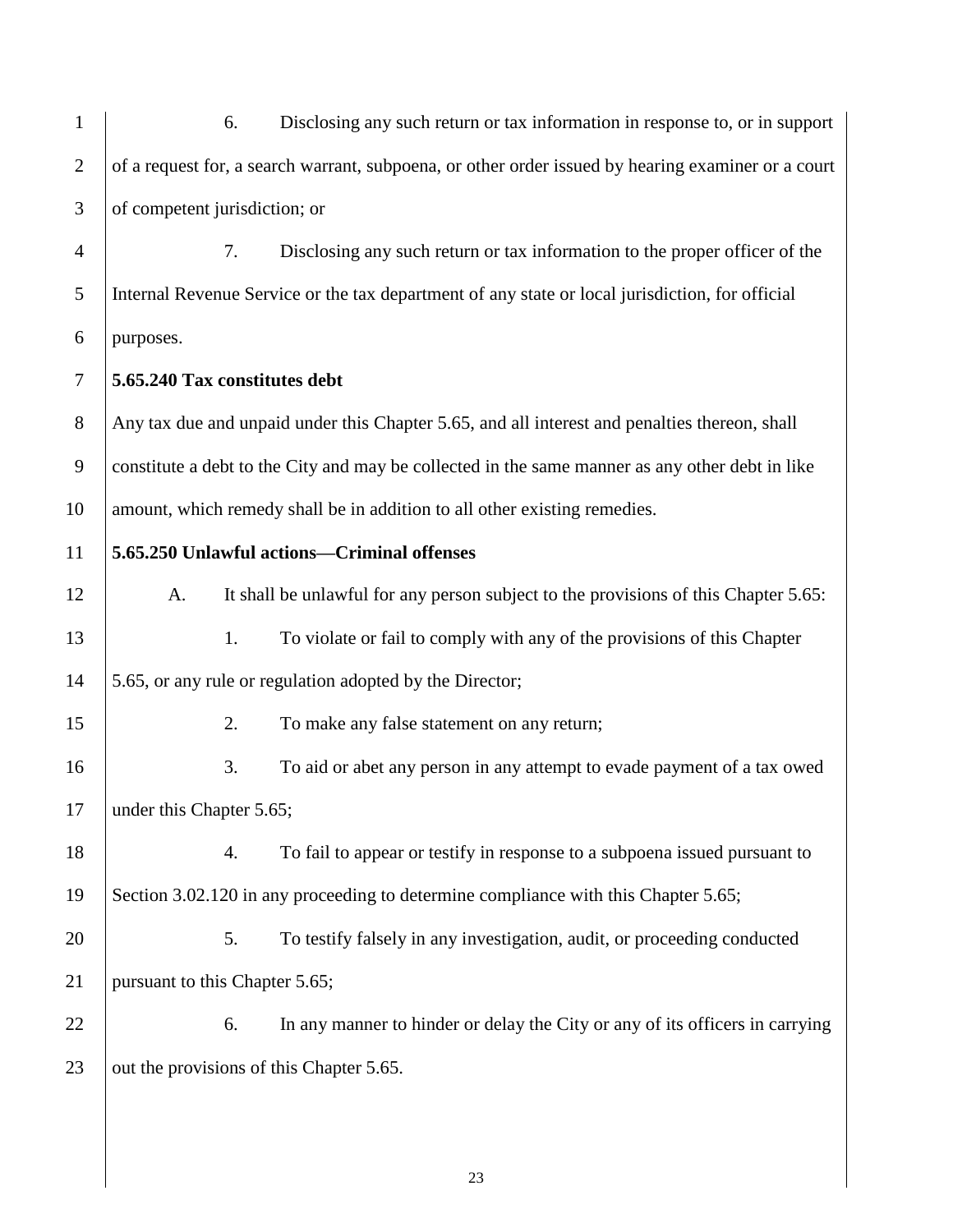| $\mathbf{1}$   | Disclosing any such return or tax information in response to, or in support<br>6.                  |  |  |  |
|----------------|----------------------------------------------------------------------------------------------------|--|--|--|
| $\overline{2}$ | of a request for, a search warrant, subpoena, or other order issued by hearing examiner or a court |  |  |  |
| 3              | of competent jurisdiction; or                                                                      |  |  |  |
| $\overline{4}$ | Disclosing any such return or tax information to the proper officer of the<br>7.                   |  |  |  |
| 5              | Internal Revenue Service or the tax department of any state or local jurisdiction, for official    |  |  |  |
| 6              | purposes.                                                                                          |  |  |  |
| $\tau$         | 5.65.240 Tax constitutes debt                                                                      |  |  |  |
| $8\,$          | Any tax due and unpaid under this Chapter 5.65, and all interest and penalties thereon, shall      |  |  |  |
| 9              | constitute a debt to the City and may be collected in the same manner as any other debt in like    |  |  |  |
| 10             | amount, which remedy shall be in addition to all other existing remedies.                          |  |  |  |
| 11             | 5.65.250 Unlawful actions-Criminal offenses                                                        |  |  |  |
| 12             | It shall be unlawful for any person subject to the provisions of this Chapter 5.65:<br>A.          |  |  |  |
| 13             | 1.<br>To violate or fail to comply with any of the provisions of this Chapter                      |  |  |  |
| 14             | 5.65, or any rule or regulation adopted by the Director;                                           |  |  |  |
| 15             | 2.<br>To make any false statement on any return;                                                   |  |  |  |
| 16             | To aid or abet any person in any attempt to evade payment of a tax owed<br>3.                      |  |  |  |
| 17             | under this Chapter 5.65;                                                                           |  |  |  |
| 18             | To fail to appear or testify in response to a subpoena issued pursuant to<br>4.                    |  |  |  |
| 19             | Section 3.02.120 in any proceeding to determine compliance with this Chapter 5.65;                 |  |  |  |
| 20             | To testify falsely in any investigation, audit, or proceeding conducted<br>5.                      |  |  |  |
| 21             | pursuant to this Chapter 5.65;                                                                     |  |  |  |
| 22             | In any manner to hinder or delay the City or any of its officers in carrying<br>6.                 |  |  |  |
| 23             | out the provisions of this Chapter 5.65.                                                           |  |  |  |
|                |                                                                                                    |  |  |  |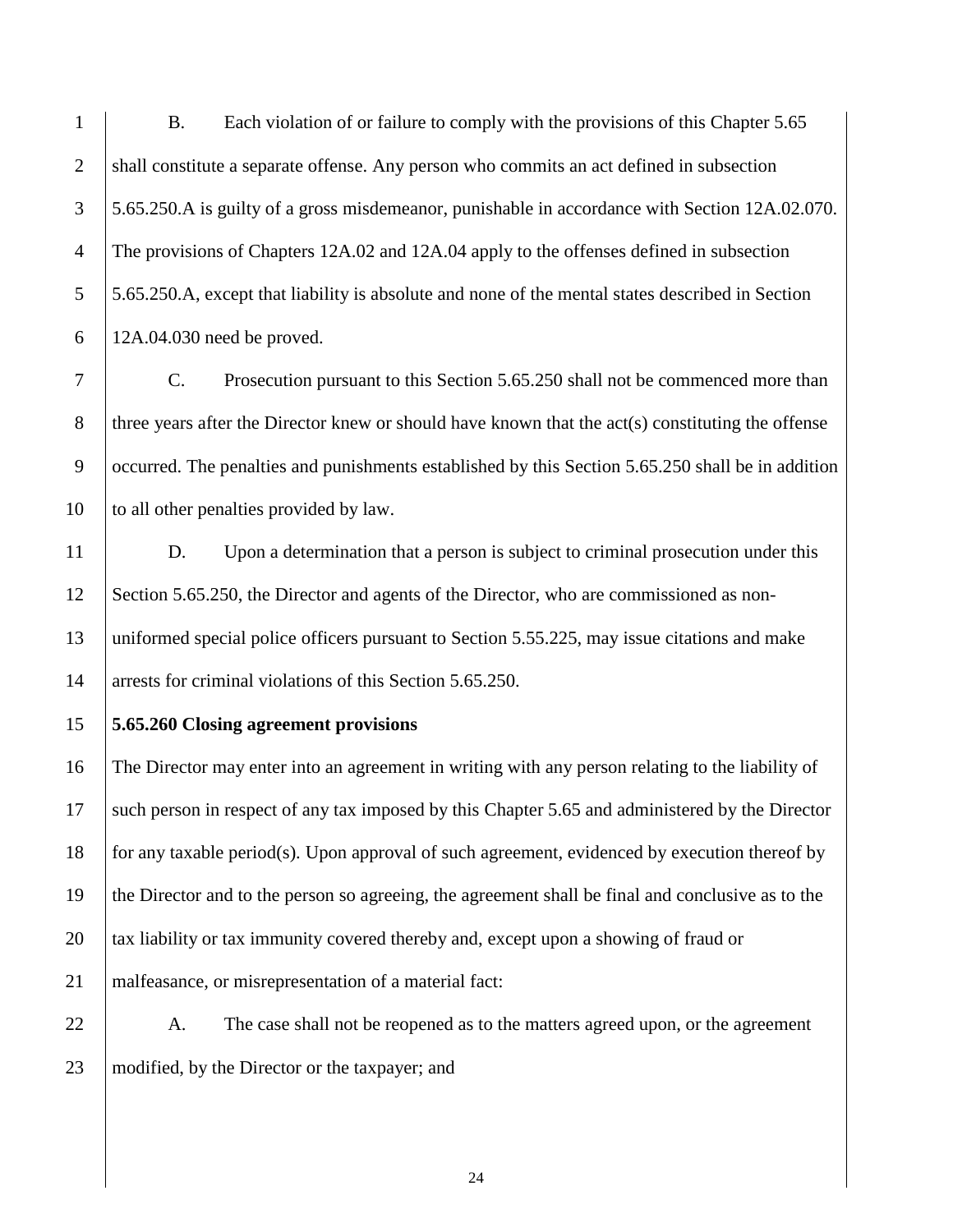B. Each violation of or failure to comply with the provisions of this Chapter 5.65 2 shall constitute a separate offense. Any person who commits an act defined in subsection 5.65.250.A is guilty of a gross misdemeanor, punishable in accordance with Section 12A.02.070. The provisions of Chapters 12A.02 and 12A.04 apply to the offenses defined in subsection 5.65.250.A, except that liability is absolute and none of the mental states described in Section 12A.04.030 need be proved.

 C. Prosecution pursuant to this Section 5.65.250 shall not be commenced more than 8 three years after the Director knew or should have known that the  $act(s)$  constituting the offense occurred. The penalties and punishments established by this Section 5.65.250 shall be in addition 10 to all other penalties provided by law.

 D. Upon a determination that a person is subject to criminal prosecution under this Section 5.65.250, the Director and agents of the Director, who are commissioned as non- uniformed special police officers pursuant to Section 5.55.225, may issue citations and make 14 arrests for criminal violations of this Section 5.65.250.

**5.65.260 Closing agreement provisions**

 The Director may enter into an agreement in writing with any person relating to the liability of such person in respect of any tax imposed by this Chapter 5.65 and administered by the Director 18 for any taxable period(s). Upon approval of such agreement, evidenced by execution thereof by the Director and to the person so agreeing, the agreement shall be final and conclusive as to the 20 tax liability or tax immunity covered thereby and, except upon a showing of fraud or malfeasance, or misrepresentation of a material fact:

22 A. The case shall not be reopened as to the matters agreed upon, or the agreement modified, by the Director or the taxpayer; and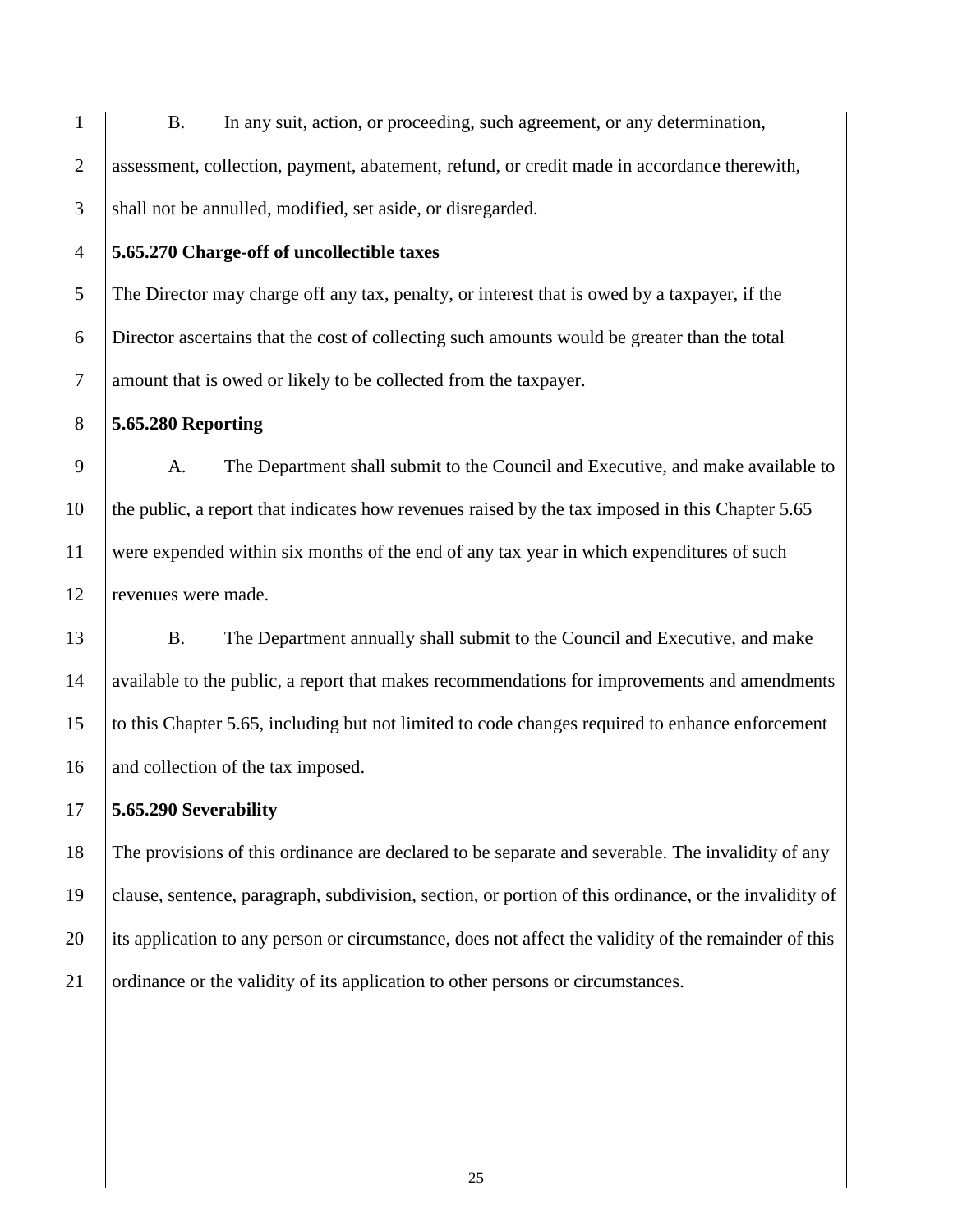B. In any suit, action, or proceeding, such agreement, or any determination, assessment, collection, payment, abatement, refund, or credit made in accordance therewith, 3 Shall not be annulled, modified, set aside, or disregarded.

## **5.65.270 Charge-off of uncollectible taxes**

 The Director may charge off any tax, penalty, or interest that is owed by a taxpayer, if the Director ascertains that the cost of collecting such amounts would be greater than the total amount that is owed or likely to be collected from the taxpayer.

**5.65.280 Reporting** 

 A. The Department shall submit to the Council and Executive, and make available to the public, a report that indicates how revenues raised by the tax imposed in this Chapter 5.65 were expended within six months of the end of any tax year in which expenditures of such revenues were made.

 B. The Department annually shall submit to the Council and Executive, and make available to the public, a report that makes recommendations for improvements and amendments to this Chapter 5.65, including but not limited to code changes required to enhance enforcement 16 and collection of the tax imposed.

**5.65.290 Severability**

 The provisions of this ordinance are declared to be separate and severable. The invalidity of any clause, sentence, paragraph, subdivision, section, or portion of this ordinance, or the invalidity of 20 its application to any person or circumstance, does not affect the validity of the remainder of this ordinance or the validity of its application to other persons or circumstances.